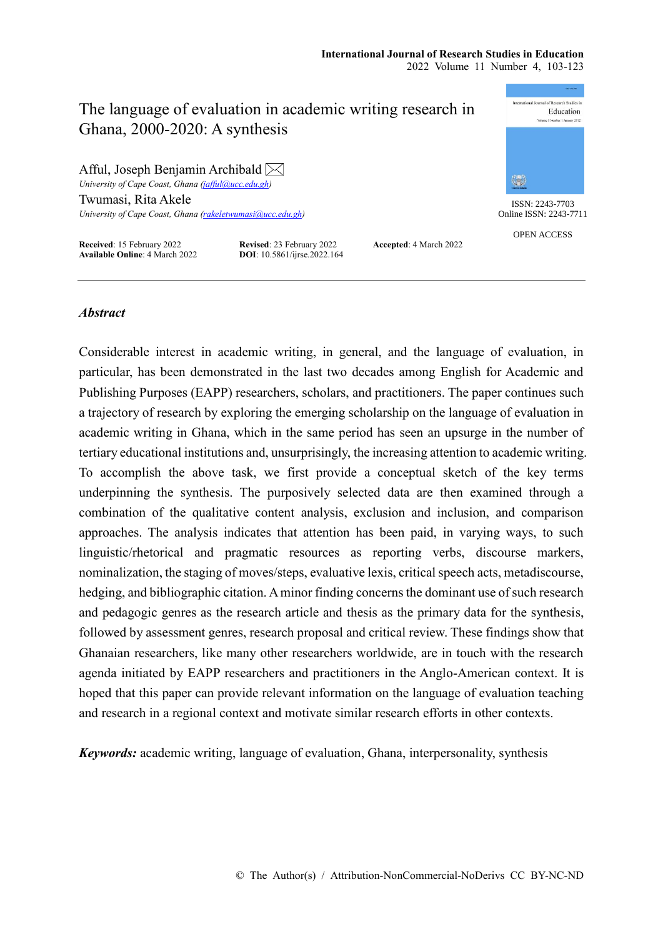# International Journal of Receptib. Studies in The language of evaluation in academic writing research in Education Ghana, 2000-2020: A synthesis Afful, Joseph Benjamin Archibald  $\boxtimes$  $\binom{m}{m}$ *University of Cape Coast, Ghana [\(jafful@ucc.edu.gh\)](mailto:jafful@ucc.edu.gh)* Twumasi, Rita Akele ISSN: 2243-7703 *University of Cape Coast, Ghana [\(rakeletwumasi@ucc.edu.gh\)](mailto:rakeletwumasi@ucc.edu.gh)* OPEN ACCESS

**Received**: 15 February 2022 **Revised**: 23 February 2022 **Accepted**: 4 March 2022 **Available Online**: 4 March 2022 **DOI**: 10.5861/ijrse.2022.164



Online ISSN: 2243-7711

# *Abstract*

Considerable interest in academic writing, in general, and the language of evaluation, in particular, has been demonstrated in the last two decades among English for Academic and Publishing Purposes (EAPP) researchers, scholars, and practitioners. The paper continues such a trajectory of research by exploring the emerging scholarship on the language of evaluation in academic writing in Ghana, which in the same period has seen an upsurge in the number of tertiary educational institutions and, unsurprisingly, the increasing attention to academic writing. To accomplish the above task, we first provide a conceptual sketch of the key terms underpinning the synthesis. The purposively selected data are then examined through a combination of the qualitative content analysis, exclusion and inclusion, and comparison approaches. The analysis indicates that attention has been paid, in varying ways, to such linguistic/rhetorical and pragmatic resources as reporting verbs, discourse markers, nominalization, the staging of moves/steps, evaluative lexis, critical speech acts, metadiscourse, hedging, and bibliographic citation. A minor finding concerns the dominant use of such research and pedagogic genres as the research article and thesis as the primary data for the synthesis, followed by assessment genres, research proposal and critical review. These findings show that Ghanaian researchers, like many other researchers worldwide, are in touch with the research agenda initiated by EAPP researchers and practitioners in the Anglo-American context. It is hoped that this paper can provide relevant information on the language of evaluation teaching and research in a regional context and motivate similar research efforts in other contexts.

*Keywords:* academic writing, language of evaluation, Ghana, interpersonality, synthesis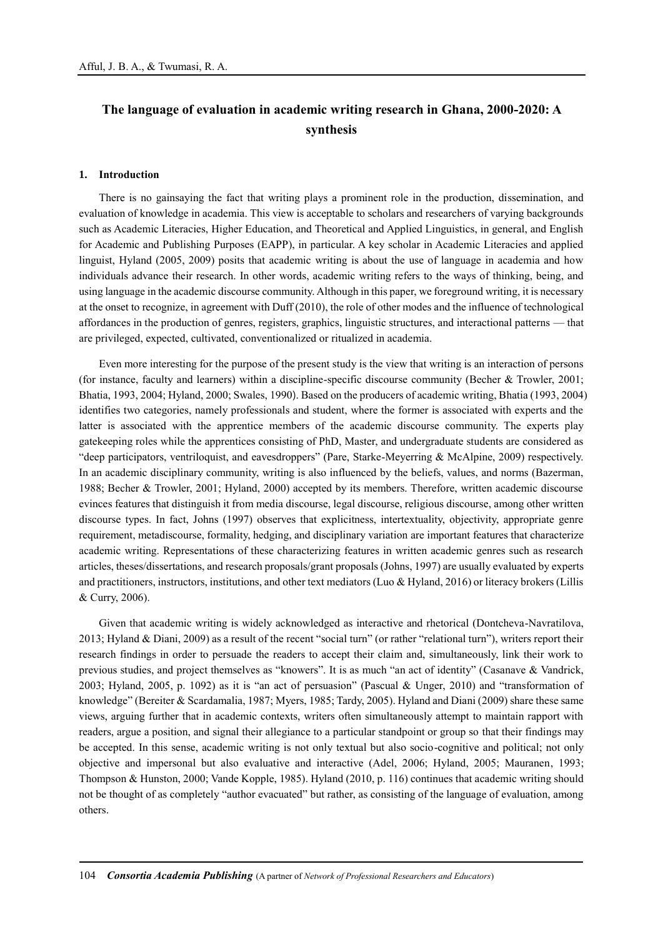# **The language of evaluation in academic writing research in Ghana, 2000-2020: A synthesis**

#### **1. Introduction**

There is no gainsaying the fact that writing plays a prominent role in the production, dissemination, and evaluation of knowledge in academia. This view is acceptable to scholars and researchers of varying backgrounds such as Academic Literacies, Higher Education, and Theoretical and Applied Linguistics, in general, and English for Academic and Publishing Purposes (EAPP), in particular. A key scholar in Academic Literacies and applied linguist, Hyland (2005, 2009) posits that academic writing is about the use of language in academia and how individuals advance their research. In other words, academic writing refers to the ways of thinking, being, and using language in the academic discourse community. Although in this paper, we foreground writing, it is necessary at the onset to recognize, in agreement with Duff (2010), the role of other modes and the influence of technological affordances in the production of genres, registers, graphics, linguistic structures, and interactional patterns — that are privileged, expected, cultivated, conventionalized or ritualized in academia.

Even more interesting for the purpose of the present study is the view that writing is an interaction of persons (for instance, faculty and learners) within a discipline-specific discourse community (Becher & Trowler, 2001; Bhatia, 1993, 2004; Hyland, 2000; Swales, 1990). Based on the producers of academic writing, Bhatia (1993, 2004) identifies two categories, namely professionals and student, where the former is associated with experts and the latter is associated with the apprentice members of the academic discourse community. The experts play gatekeeping roles while the apprentices consisting of PhD, Master, and undergraduate students are considered as "deep participators, ventriloquist, and eavesdroppers" (Pare, Starke-Meyerring & McAlpine, 2009) respectively. In an academic disciplinary community, writing is also influenced by the beliefs, values, and norms (Bazerman, 1988; Becher & Trowler, 2001; Hyland, 2000) accepted by its members. Therefore, written academic discourse evinces features that distinguish it from media discourse, legal discourse, religious discourse, among other written discourse types. In fact, Johns (1997) observes that explicitness, intertextuality, objectivity, appropriate genre requirement, metadiscourse, formality, hedging, and disciplinary variation are important features that characterize academic writing. Representations of these characterizing features in written academic genres such as research articles, theses/dissertations, and research proposals/grant proposals (Johns, 1997) are usually evaluated by experts and practitioners, instructors, institutions, and other text mediators (Luo & Hyland, 2016) or literacy brokers (Lillis & Curry, 2006).

Given that academic writing is widely acknowledged as interactive and rhetorical (Dontcheva-Navratilova, 2013; Hyland & Diani, 2009) as a result of the recent "social turn" (or rather "relational turn"), writers report their research findings in order to persuade the readers to accept their claim and, simultaneously, link their work to previous studies, and project themselves as "knowers". It is as much "an act of identity" (Casanave & Vandrick, 2003; Hyland, 2005, p. 1092) as it is "an act of persuasion" (Pascual & Unger, 2010) and "transformation of knowledge" (Bereiter & Scardamalia, 1987; Myers, 1985; Tardy, 2005). Hyland and Diani (2009) share these same views, arguing further that in academic contexts, writers often simultaneously attempt to maintain rapport with readers, argue a position, and signal their allegiance to a particular standpoint or group so that their findings may be accepted. In this sense, academic writing is not only textual but also socio-cognitive and political; not only objective and impersonal but also evaluative and interactive (Adel, 2006; Hyland, 2005; Mauranen, 1993; Thompson & Hunston, 2000; Vande Kopple, 1985). Hyland (2010, p. 116) continues that academic writing should not be thought of as completely "author evacuated" but rather, as consisting of the language of evaluation, among others.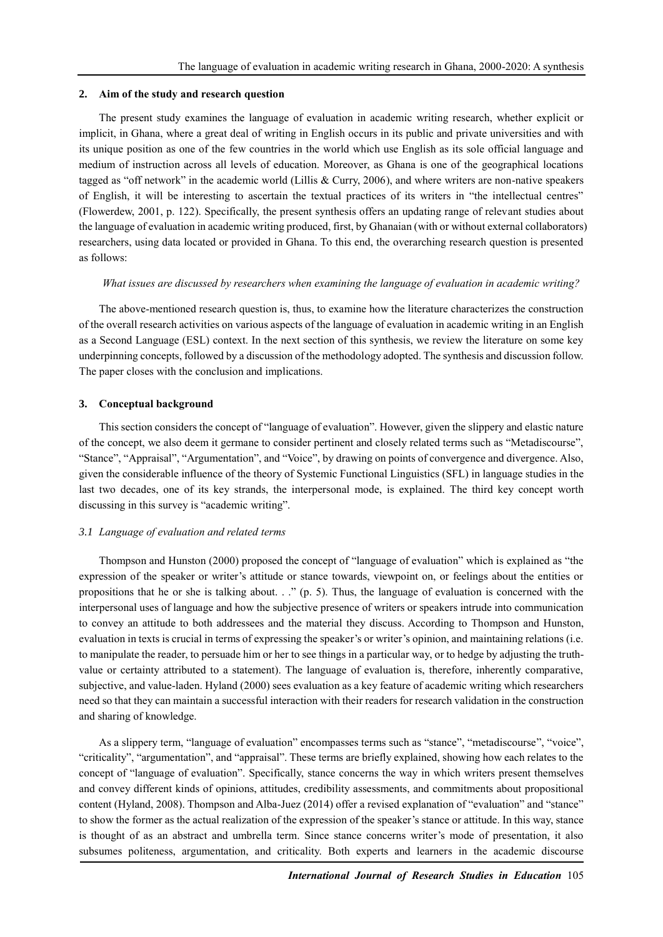## **2. Aim of the study and research question**

The present study examines the language of evaluation in academic writing research, whether explicit or implicit, in Ghana, where a great deal of writing in English occurs in its public and private universities and with its unique position as one of the few countries in the world which use English as its sole official language and medium of instruction across all levels of education. Moreover, as Ghana is one of the geographical locations tagged as "off network" in the academic world (Lillis & Curry, 2006), and where writers are non-native speakers of English, it will be interesting to ascertain the textual practices of its writers in "the intellectual centres" (Flowerdew, 2001, p. 122). Specifically, the present synthesis offers an updating range of relevant studies about the language of evaluation in academic writing produced, first, by Ghanaian (with or without external collaborators) researchers, using data located or provided in Ghana. To this end, the overarching research question is presented as follows:

#### *What issues are discussed by researchers when examining the language of evaluation in academic writing?*

The above-mentioned research question is, thus, to examine how the literature characterizes the construction of the overall research activities on various aspects of the language of evaluation in academic writing in an English as a Second Language (ESL) context. In the next section of this synthesis, we review the literature on some key underpinning concepts, followed by a discussion of the methodology adopted. The synthesis and discussion follow. The paper closes with the conclusion and implications.

## **3. Conceptual background**

This section considers the concept of "language of evaluation". However, given the slippery and elastic nature of the concept, we also deem it germane to consider pertinent and closely related terms such as "Metadiscourse", "Stance", "Appraisal", "Argumentation", and "Voice", by drawing on points of convergence and divergence. Also, given the considerable influence of the theory of Systemic Functional Linguistics (SFL) in language studies in the last two decades, one of its key strands, the interpersonal mode, is explained. The third key concept worth discussing in this survey is "academic writing".

#### *3.1 Language of evaluation and related terms*

Thompson and Hunston (2000) proposed the concept of "language of evaluation" which is explained as "the expression of the speaker or writer's attitude or stance towards, viewpoint on, or feelings about the entities or propositions that he or she is talking about. . ." (p. 5). Thus, the language of evaluation is concerned with the interpersonal uses of language and how the subjective presence of writers or speakers intrude into communication to convey an attitude to both addressees and the material they discuss. According to Thompson and Hunston, evaluation in texts is crucial in terms of expressing the speaker's or writer's opinion, and maintaining relations (i.e. to manipulate the reader, to persuade him or her to see things in a particular way, or to hedge by adjusting the truthvalue or certainty attributed to a statement). The language of evaluation is, therefore, inherently comparative, subjective, and value-laden. Hyland (2000) sees evaluation as a key feature of academic writing which researchers need so that they can maintain a successful interaction with their readers for research validation in the construction and sharing of knowledge.

As a slippery term, "language of evaluation" encompasses terms such as "stance", "metadiscourse", "voice", "criticality", "argumentation", and "appraisal". These terms are briefly explained, showing how each relates to the concept of "language of evaluation". Specifically, stance concerns the way in which writers present themselves and convey different kinds of opinions, attitudes, credibility assessments, and commitments about propositional content (Hyland, 2008). Thompson and Alba-Juez (2014) offer a revised explanation of "evaluation" and "stance" to show the former as the actual realization of the expression of the speaker's stance or attitude. In this way, stance is thought of as an abstract and umbrella term. Since stance concerns writer's mode of presentation, it also subsumes politeness, argumentation, and criticality. Both experts and learners in the academic discourse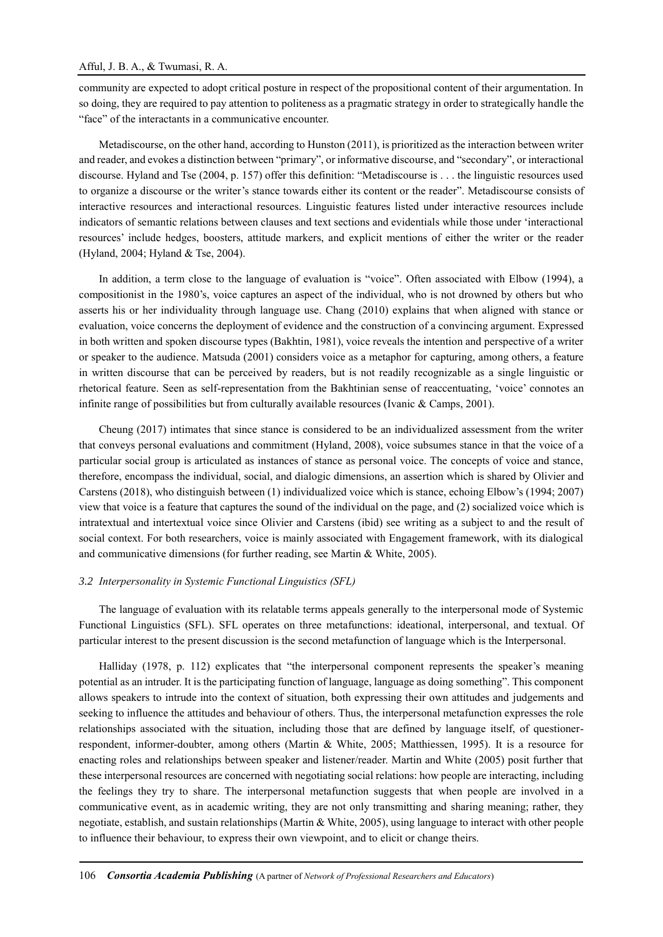community are expected to adopt critical posture in respect of the propositional content of their argumentation. In so doing, they are required to pay attention to politeness as a pragmatic strategy in order to strategically handle the "face" of the interactants in a communicative encounter.

Metadiscourse, on the other hand, according to Hunston (2011), is prioritized as the interaction between writer and reader, and evokes a distinction between "primary", or informative discourse, and "secondary", or interactional discourse. Hyland and Tse (2004, p. 157) offer this definition: "Metadiscourse is . . . the linguistic resources used to organize a discourse or the writer's stance towards either its content or the reader". Metadiscourse consists of interactive resources and interactional resources. Linguistic features listed under interactive resources include indicators of semantic relations between clauses and text sections and evidentials while those under 'interactional resources' include hedges, boosters, attitude markers, and explicit mentions of either the writer or the reader (Hyland, 2004; Hyland & Tse, 2004).

In addition, a term close to the language of evaluation is "voice". Often associated with Elbow (1994), a compositionist in the 1980's, voice captures an aspect of the individual, who is not drowned by others but who asserts his or her individuality through language use. Chang (2010) explains that when aligned with stance or evaluation, voice concerns the deployment of evidence and the construction of a convincing argument. Expressed in both written and spoken discourse types (Bakhtin, 1981), voice reveals the intention and perspective of a writer or speaker to the audience. Matsuda (2001) considers voice as a metaphor for capturing, among others, a feature in written discourse that can be perceived by readers, but is not readily recognizable as a single linguistic or rhetorical feature. Seen as self-representation from the Bakhtinian sense of reaccentuating, 'voice' connotes an infinite range of possibilities but from culturally available resources (Ivanic & Camps, 2001).

Cheung (2017) intimates that since stance is considered to be an individualized assessment from the writer that conveys personal evaluations and commitment (Hyland, 2008), voice subsumes stance in that the voice of a particular social group is articulated as instances of stance as personal voice. The concepts of voice and stance, therefore, encompass the individual, social, and dialogic dimensions, an assertion which is shared by Olivier and Carstens (2018), who distinguish between (1) individualized voice which is stance, echoing Elbow's (1994; 2007) view that voice is a feature that captures the sound of the individual on the page, and (2) socialized voice which is intratextual and intertextual voice since Olivier and Carstens (ibid) see writing as a subject to and the result of social context. For both researchers, voice is mainly associated with Engagement framework, with its dialogical and communicative dimensions (for further reading, see Martin & White, 2005).

#### *3.2 Interpersonality in Systemic Functional Linguistics (SFL)*

The language of evaluation with its relatable terms appeals generally to the interpersonal mode of Systemic Functional Linguistics (SFL). SFL operates on three metafunctions: ideational, interpersonal, and textual. Of particular interest to the present discussion is the second metafunction of language which is the Interpersonal.

Halliday (1978, p. 112) explicates that "the interpersonal component represents the speaker's meaning potential as an intruder. It is the participating function of language, language as doing something". This component allows speakers to intrude into the context of situation, both expressing their own attitudes and judgements and seeking to influence the attitudes and behaviour of others. Thus, the interpersonal metafunction expresses the role relationships associated with the situation, including those that are defined by language itself, of questionerrespondent, informer-doubter, among others (Martin & White, 2005; Matthiessen, 1995). It is a resource for enacting roles and relationships between speaker and listener/reader. Martin and White (2005) posit further that these interpersonal resources are concerned with negotiating social relations: how people are interacting, including the feelings they try to share. The interpersonal metafunction suggests that when people are involved in a communicative event, as in academic writing, they are not only transmitting and sharing meaning; rather, they negotiate, establish, and sustain relationships (Martin & White, 2005), using language to interact with other people to influence their behaviour, to express their own viewpoint, and to elicit or change theirs.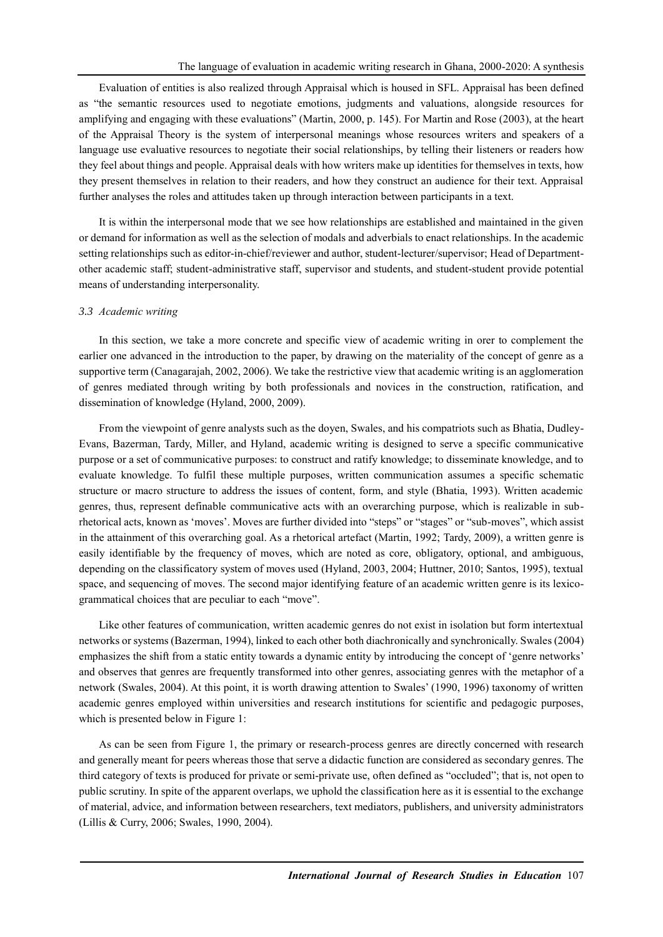Evaluation of entities is also realized through Appraisal which is housed in SFL. Appraisal has been defined as "the semantic resources used to negotiate emotions, judgments and valuations, alongside resources for amplifying and engaging with these evaluations" (Martin, 2000, p. 145). For Martin and Rose (2003), at the heart of the Appraisal Theory is the system of interpersonal meanings whose resources writers and speakers of a language use evaluative resources to negotiate their social relationships, by telling their listeners or readers how they feel about things and people. Appraisal deals with how writers make up identities for themselves in texts, how they present themselves in relation to their readers, and how they construct an audience for their text. Appraisal further analyses the roles and attitudes taken up through interaction between participants in a text.

It is within the interpersonal mode that we see how relationships are established and maintained in the given or demand for information as well as the selection of modals and adverbials to enact relationships. In the academic setting relationships such as editor-in-chief/reviewer and author, student-lecturer/supervisor; Head of Departmentother academic staff; student-administrative staff, supervisor and students, and student-student provide potential means of understanding interpersonality.

## *3.3 Academic writing*

In this section, we take a more concrete and specific view of academic writing in orer to complement the earlier one advanced in the introduction to the paper, by drawing on the materiality of the concept of genre as a supportive term (Canagarajah, 2002, 2006). We take the restrictive view that academic writing is an agglomeration of genres mediated through writing by both professionals and novices in the construction, ratification, and dissemination of knowledge (Hyland, 2000, 2009).

From the viewpoint of genre analysts such as the doyen, Swales, and his compatriots such as Bhatia, Dudley-Evans, Bazerman, Tardy, Miller, and Hyland, academic writing is designed to serve a specific communicative purpose or a set of communicative purposes: to construct and ratify knowledge; to disseminate knowledge, and to evaluate knowledge. To fulfil these multiple purposes, written communication assumes a specific schematic structure or macro structure to address the issues of content, form, and style (Bhatia, 1993). Written academic genres, thus, represent definable communicative acts with an overarching purpose, which is realizable in subrhetorical acts, known as 'moves'. Moves are further divided into "steps" or "stages" or "sub-moves", which assist in the attainment of this overarching goal. As a rhetorical artefact (Martin, 1992; Tardy, 2009), a written genre is easily identifiable by the frequency of moves, which are noted as core, obligatory, optional, and ambiguous, depending on the classificatory system of moves used (Hyland, 2003, 2004; Huttner, 2010; Santos, 1995), textual space, and sequencing of moves. The second major identifying feature of an academic written genre is its lexicogrammatical choices that are peculiar to each "move".

Like other features of communication, written academic genres do not exist in isolation but form intertextual networks or systems (Bazerman, 1994), linked to each other both diachronically and synchronically. Swales (2004) emphasizes the shift from a static entity towards a dynamic entity by introducing the concept of 'genre networks' and observes that genres are frequently transformed into other genres, associating genres with the metaphor of a network (Swales, 2004). At this point, it is worth drawing attention to Swales' (1990, 1996) taxonomy of written academic genres employed within universities and research institutions for scientific and pedagogic purposes, which is presented below in Figure 1:

As can be seen from Figure 1, the primary or research-process genres are directly concerned with research and generally meant for peers whereas those that serve a didactic function are considered as secondary genres. The third category of texts is produced for private or semi-private use, often defined as "occluded"; that is, not open to public scrutiny. In spite of the apparent overlaps, we uphold the classification here as it is essential to the exchange of material, advice, and information between researchers, text mediators, publishers, and university administrators (Lillis & Curry, 2006; Swales, 1990, 2004).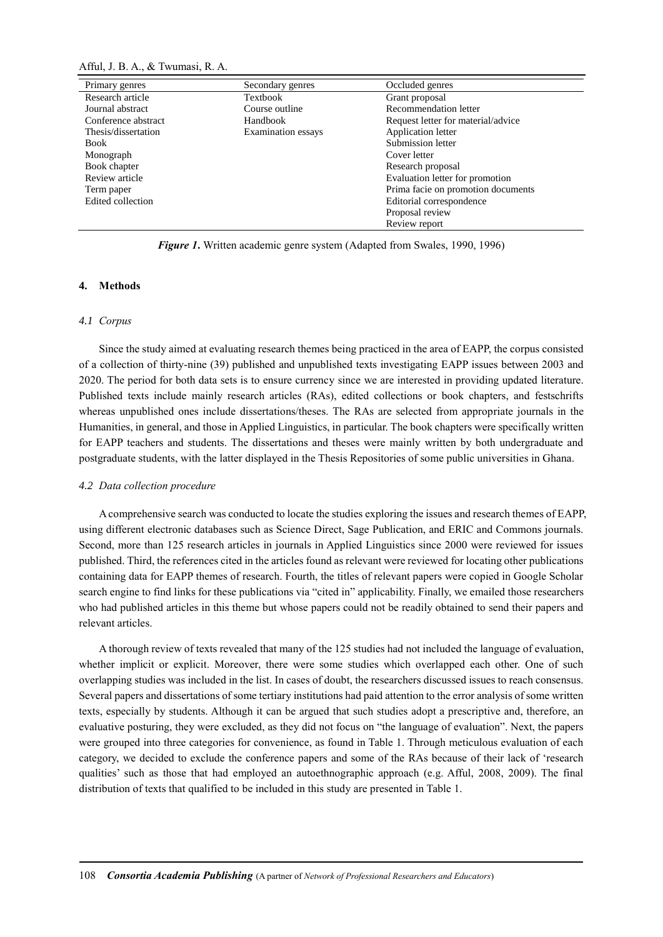Afful, J. B. A., & Twumasi, R. A.

| Primary genres      | Secondary genres   | Occluded genres                    |
|---------------------|--------------------|------------------------------------|
| Research article    | Textbook           | Grant proposal                     |
| Journal abstract    | Course outline     | Recommendation letter              |
| Conference abstract | Handbook           | Request letter for material/advice |
| Thesis/dissertation | Examination essays | Application letter                 |
| Book                |                    | Submission letter                  |
| Monograph           |                    | Cover letter                       |
| Book chapter        |                    | Research proposal                  |
| Review article      |                    | Evaluation letter for promotion    |
| Term paper          |                    | Prima facie on promotion documents |
| Edited collection   |                    | Editorial correspondence           |
|                     |                    | Proposal review                    |
|                     |                    | Review report                      |

*Figure 1***.** Written academic genre system (Adapted from Swales, 1990, 1996)

# **4. Methods**

#### *4.1 Corpus*

Since the study aimed at evaluating research themes being practiced in the area of EAPP, the corpus consisted of a collection of thirty-nine (39) published and unpublished texts investigating EAPP issues between 2003 and 2020. The period for both data sets is to ensure currency since we are interested in providing updated literature. Published texts include mainly research articles (RAs), edited collections or book chapters, and festschrifts whereas unpublished ones include dissertations/theses. The RAs are selected from appropriate journals in the Humanities, in general, and those in Applied Linguistics, in particular. The book chapters were specifically written for EAPP teachers and students. The dissertations and theses were mainly written by both undergraduate and postgraduate students, with the latter displayed in the Thesis Repositories of some public universities in Ghana.

#### *4.2 Data collection procedure*

A comprehensive search was conducted to locate the studies exploring the issues and research themes of EAPP, using different electronic databases such as Science Direct, Sage Publication, and ERIC and Commons journals. Second, more than 125 research articles in journals in Applied Linguistics since 2000 were reviewed for issues published. Third, the references cited in the articles found as relevant were reviewed for locating other publications containing data for EAPP themes of research. Fourth, the titles of relevant papers were copied in Google Scholar search engine to find links for these publications via "cited in" applicability. Finally, we emailed those researchers who had published articles in this theme but whose papers could not be readily obtained to send their papers and relevant articles.

A thorough review of texts revealed that many of the 125 studies had not included the language of evaluation, whether implicit or explicit. Moreover, there were some studies which overlapped each other. One of such overlapping studies was included in the list. In cases of doubt, the researchers discussed issues to reach consensus. Several papers and dissertations of some tertiary institutions had paid attention to the error analysis of some written texts, especially by students. Although it can be argued that such studies adopt a prescriptive and, therefore, an evaluative posturing, they were excluded, as they did not focus on "the language of evaluation". Next, the papers were grouped into three categories for convenience, as found in Table 1. Through meticulous evaluation of each category, we decided to exclude the conference papers and some of the RAs because of their lack of 'research qualities' such as those that had employed an autoethnographic approach (e.g. Afful, 2008, 2009). The final distribution of texts that qualified to be included in this study are presented in Table 1.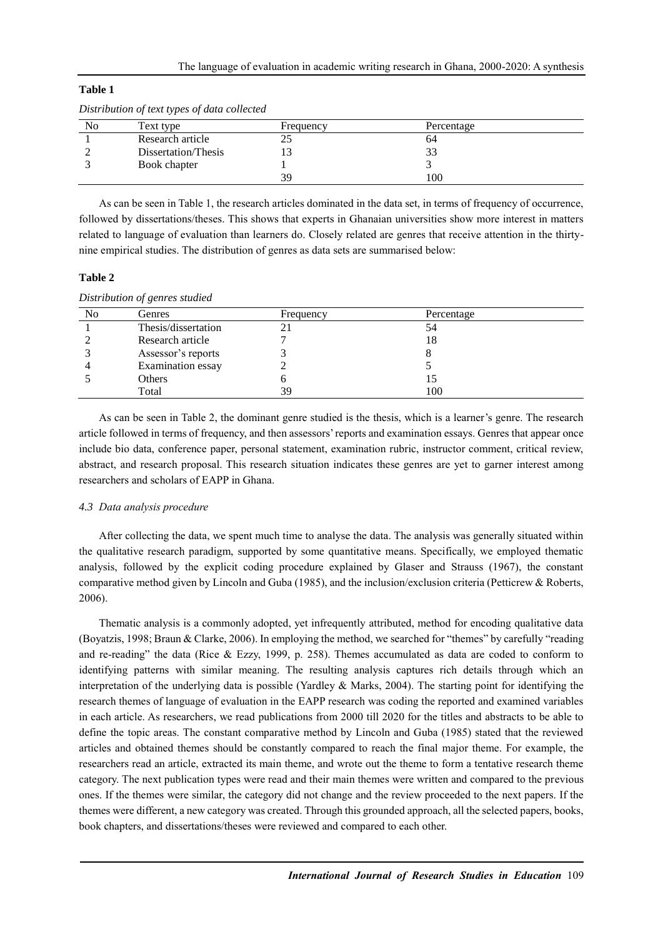| Distribution of text types of data collected |                     |           |            |  |  |
|----------------------------------------------|---------------------|-----------|------------|--|--|
| No                                           | Text type           | Frequency | Percentage |  |  |
|                                              | Research article    |           | 64         |  |  |
|                                              | Dissertation/Thesis |           | 33         |  |  |
|                                              | Book chapter        |           |            |  |  |
|                                              |                     | 39        | 100        |  |  |

# *Distribution of text types of data collected*

As can be seen in Table 1, the research articles dominated in the data set, in terms of frequency of occurrence, followed by dissertations/theses. This shows that experts in Ghanaian universities show more interest in matters related to language of evaluation than learners do. Closely related are genres that receive attention in the thirtynine empirical studies. The distribution of genres as data sets are summarised below:

# **Table 2**

**Table 1**

| No | Genres              | Frequency | Percentage |  |
|----|---------------------|-----------|------------|--|
|    | Thesis/dissertation | 21        | 54         |  |
|    | Research article    |           | 18         |  |
|    | Assessor's reports  |           |            |  |
|    | Examination essay   |           |            |  |
|    | <b>Others</b>       |           |            |  |
|    | Total               | 39        | 100        |  |

As can be seen in Table 2, the dominant genre studied is the thesis, which is a learner's genre. The research article followed in terms of frequency, and then assessors' reports and examination essays. Genres that appear once include bio data, conference paper, personal statement, examination rubric, instructor comment, critical review, abstract, and research proposal. This research situation indicates these genres are yet to garner interest among researchers and scholars of EAPP in Ghana.

# *4.3 Data analysis procedure*

After collecting the data, we spent much time to analyse the data. The analysis was generally situated within the qualitative research paradigm, supported by some quantitative means. Specifically, we employed thematic analysis, followed by the explicit coding procedure explained by Glaser and Strauss (1967), the constant comparative method given by Lincoln and Guba (1985), and the inclusion/exclusion criteria (Petticrew & Roberts, 2006).

Thematic analysis is a commonly adopted, yet infrequently attributed, method for encoding qualitative data (Boyatzis, 1998; Braun & Clarke, 2006). In employing the method, we searched for "themes" by carefully "reading and re-reading" the data (Rice & Ezzy, 1999, p. 258). Themes accumulated as data are coded to conform to identifying patterns with similar meaning. The resulting analysis captures rich details through which an interpretation of the underlying data is possible (Yardley & Marks, 2004). The starting point for identifying the research themes of language of evaluation in the EAPP research was coding the reported and examined variables in each article. As researchers, we read publications from 2000 till 2020 for the titles and abstracts to be able to define the topic areas. The constant comparative method by Lincoln and Guba (1985) stated that the reviewed articles and obtained themes should be constantly compared to reach the final major theme. For example, the researchers read an article, extracted its main theme, and wrote out the theme to form a tentative research theme category. The next publication types were read and their main themes were written and compared to the previous ones. If the themes were similar, the category did not change and the review proceeded to the next papers. If the themes were different, a new category was created. Through this grounded approach, all the selected papers, books, book chapters, and dissertations/theses were reviewed and compared to each other.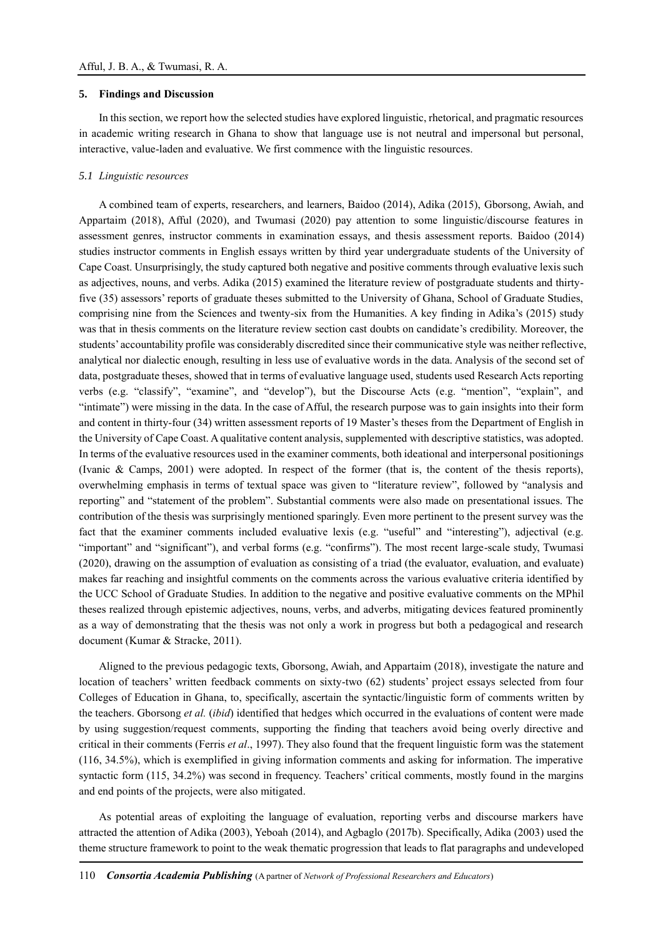## **5. Findings and Discussion**

In this section, we report how the selected studies have explored linguistic, rhetorical, and pragmatic resources in academic writing research in Ghana to show that language use is not neutral and impersonal but personal, interactive, value-laden and evaluative. We first commence with the linguistic resources.

#### *5.1 Linguistic resources*

A combined team of experts, researchers, and learners, Baidoo (2014), Adika (2015), Gborsong, Awiah, and Appartaim (2018), Afful (2020), and Twumasi (2020) pay attention to some linguistic/discourse features in assessment genres, instructor comments in examination essays, and thesis assessment reports. Baidoo (2014) studies instructor comments in English essays written by third year undergraduate students of the University of Cape Coast. Unsurprisingly, the study captured both negative and positive comments through evaluative lexis such as adjectives, nouns, and verbs. Adika (2015) examined the literature review of postgraduate students and thirtyfive (35) assessors' reports of graduate theses submitted to the University of Ghana, School of Graduate Studies, comprising nine from the Sciences and twenty-six from the Humanities. A key finding in Adika's (2015) study was that in thesis comments on the literature review section cast doubts on candidate's credibility. Moreover, the students' accountability profile was considerably discredited since their communicative style was neither reflective, analytical nor dialectic enough, resulting in less use of evaluative words in the data. Analysis of the second set of data, postgraduate theses, showed that in terms of evaluative language used, students used Research Acts reporting verbs (e.g. "classify", "examine", and "develop"), but the Discourse Acts (e.g. "mention", "explain", and "intimate") were missing in the data. In the case of Afful, the research purpose was to gain insights into their form and content in thirty-four (34) written assessment reports of 19 Master's theses from the Department of English in the University of Cape Coast. A qualitative content analysis, supplemented with descriptive statistics, was adopted. In terms of the evaluative resources used in the examiner comments, both ideational and interpersonal positionings (Ivanic & Camps, 2001) were adopted. In respect of the former (that is, the content of the thesis reports), overwhelming emphasis in terms of textual space was given to "literature review", followed by "analysis and reporting" and "statement of the problem". Substantial comments were also made on presentational issues. The contribution of the thesis was surprisingly mentioned sparingly. Even more pertinent to the present survey was the fact that the examiner comments included evaluative lexis (e.g. "useful" and "interesting"), adjectival (e.g. "important" and "significant"), and verbal forms (e.g. "confirms"). The most recent large-scale study, Twumasi (2020), drawing on the assumption of evaluation as consisting of a triad (the evaluator, evaluation, and evaluate) makes far reaching and insightful comments on the comments across the various evaluative criteria identified by the UCC School of Graduate Studies. In addition to the negative and positive evaluative comments on the MPhil theses realized through epistemic adjectives, nouns, verbs, and adverbs, mitigating devices featured prominently as a way of demonstrating that the thesis was not only a work in progress but both a pedagogical and research document (Kumar & Stracke, 2011).

Aligned to the previous pedagogic texts, Gborsong, Awiah, and Appartaim (2018), investigate the nature and location of teachers' written feedback comments on sixty-two (62) students' project essays selected from four Colleges of Education in Ghana, to, specifically, ascertain the syntactic/linguistic form of comments written by the teachers. Gborsong *et al.* (*ibid*) identified that hedges which occurred in the evaluations of content were made by using suggestion/request comments, supporting the finding that teachers avoid being overly directive and critical in their comments (Ferris *et al*., 1997). They also found that the frequent linguistic form was the statement (116, 34.5%), which is exemplified in giving information comments and asking for information. The imperative syntactic form (115, 34.2%) was second in frequency. Teachers' critical comments, mostly found in the margins and end points of the projects, were also mitigated.

As potential areas of exploiting the language of evaluation, reporting verbs and discourse markers have attracted the attention of Adika (2003), Yeboah (2014), and Agbaglo (2017b). Specifically, Adika (2003) used the theme structure framework to point to the weak thematic progression that leads to flat paragraphs and undeveloped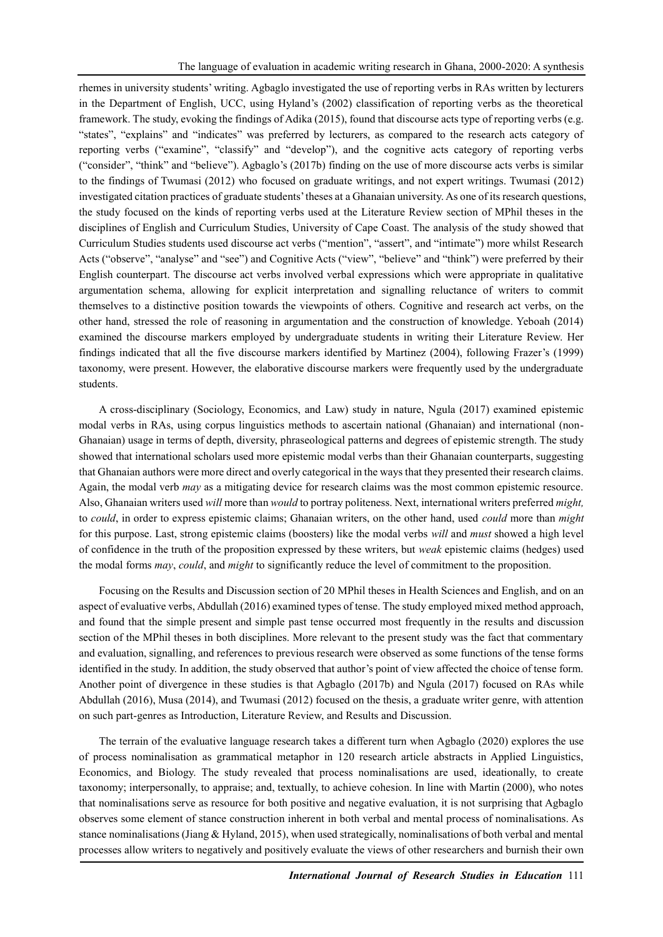rhemes in university students' writing. Agbaglo investigated the use of reporting verbs in RAs written by lecturers in the Department of English, UCC, using Hyland's (2002) classification of reporting verbs as the theoretical framework. The study, evoking the findings of Adika (2015), found that discourse acts type of reporting verbs (e.g. "states", "explains" and "indicates" was preferred by lecturers, as compared to the research acts category of reporting verbs ("examine", "classify" and "develop"), and the cognitive acts category of reporting verbs ("consider", "think" and "believe"). Agbaglo's (2017b) finding on the use of more discourse acts verbs is similar to the findings of Twumasi (2012) who focused on graduate writings, and not expert writings. Twumasi (2012) investigated citation practices of graduate students' theses at a Ghanaian university. As one of its research questions, the study focused on the kinds of reporting verbs used at the Literature Review section of MPhil theses in the disciplines of English and Curriculum Studies, University of Cape Coast. The analysis of the study showed that Curriculum Studies students used discourse act verbs ("mention", "assert", and "intimate") more whilst Research Acts ("observe", "analyse" and "see") and Cognitive Acts ("view", "believe" and "think") were preferred by their English counterpart. The discourse act verbs involved verbal expressions which were appropriate in qualitative argumentation schema, allowing for explicit interpretation and signalling reluctance of writers to commit themselves to a distinctive position towards the viewpoints of others. Cognitive and research act verbs, on the other hand, stressed the role of reasoning in argumentation and the construction of knowledge. Yeboah (2014) examined the discourse markers employed by undergraduate students in writing their Literature Review. Her findings indicated that all the five discourse markers identified by Martinez (2004), following Frazer's (1999) taxonomy, were present. However, the elaborative discourse markers were frequently used by the undergraduate students.

A cross-disciplinary (Sociology, Economics, and Law) study in nature, Ngula (2017) examined epistemic modal verbs in RAs, using corpus linguistics methods to ascertain national (Ghanaian) and international (non-Ghanaian) usage in terms of depth, diversity, phraseological patterns and degrees of epistemic strength. The study showed that international scholars used more epistemic modal verbs than their Ghanaian counterparts, suggesting that Ghanaian authors were more direct and overly categorical in the ways that they presented their research claims. Again, the modal verb *may* as a mitigating device for research claims was the most common epistemic resource. Also, Ghanaian writers used *will* more than *would* to portray politeness. Next, international writers preferred *might,*  to *could*, in order to express epistemic claims; Ghanaian writers, on the other hand, used *could* more than *might*  for this purpose. Last, strong epistemic claims (boosters) like the modal verbs *will* and *must* showed a high level of confidence in the truth of the proposition expressed by these writers, but *weak* epistemic claims (hedges) used the modal forms *may*, *could*, and *might* to significantly reduce the level of commitment to the proposition.

Focusing on the Results and Discussion section of 20 MPhil theses in Health Sciences and English, and on an aspect of evaluative verbs, Abdullah (2016) examined types of tense. The study employed mixed method approach, and found that the simple present and simple past tense occurred most frequently in the results and discussion section of the MPhil theses in both disciplines. More relevant to the present study was the fact that commentary and evaluation, signalling, and references to previous research were observed as some functions of the tense forms identified in the study. In addition, the study observed that author's point of view affected the choice of tense form. Another point of divergence in these studies is that Agbaglo (2017b) and Ngula (2017) focused on RAs while Abdullah (2016), Musa (2014), and Twumasi (2012) focused on the thesis, a graduate writer genre, with attention on such part-genres as Introduction, Literature Review, and Results and Discussion.

The terrain of the evaluative language research takes a different turn when Agbaglo (2020) explores the use of process nominalisation as grammatical metaphor in 120 research article abstracts in Applied Linguistics, Economics, and Biology. The study revealed that process nominalisations are used, ideationally, to create taxonomy; interpersonally, to appraise; and, textually, to achieve cohesion. In line with Martin (2000), who notes that nominalisations serve as resource for both positive and negative evaluation, it is not surprising that Agbaglo observes some element of stance construction inherent in both verbal and mental process of nominalisations. As stance nominalisations (Jiang & Hyland, 2015), when used strategically, nominalisations of both verbal and mental processes allow writers to negatively and positively evaluate the views of other researchers and burnish their own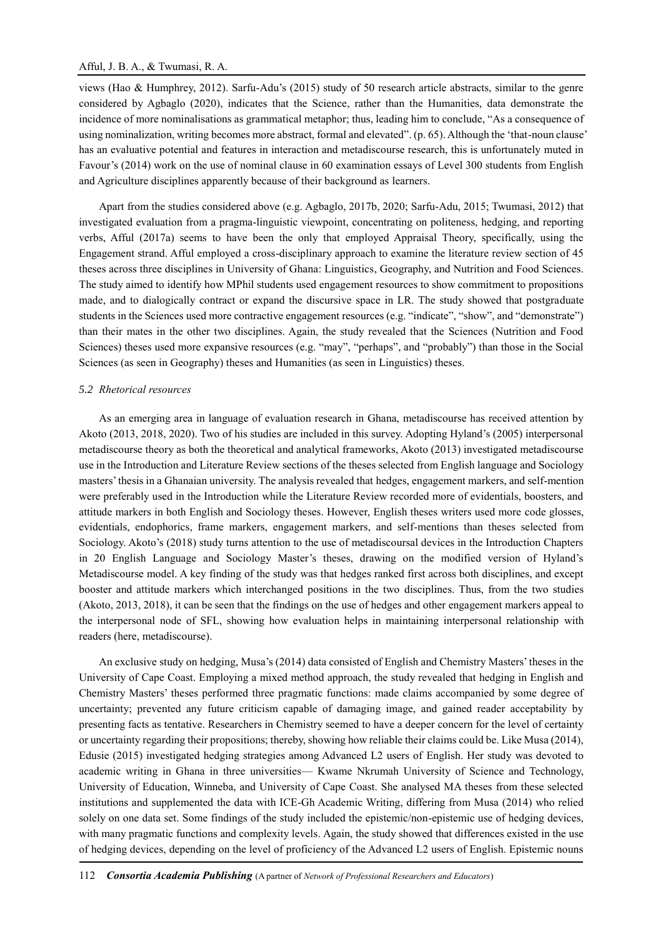# Afful, J. B. A., & Twumasi, R. A.

views (Hao & Humphrey, 2012). Sarfu-Adu's (2015) study of 50 research article abstracts, similar to the genre considered by Agbaglo (2020), indicates that the Science, rather than the Humanities, data demonstrate the incidence of more nominalisations as grammatical metaphor; thus, leading him to conclude, "As a consequence of using nominalization, writing becomes more abstract, formal and elevated". (p. 65). Although the 'that-noun clause' has an evaluative potential and features in interaction and metadiscourse research, this is unfortunately muted in Favour's (2014) work on the use of nominal clause in 60 examination essays of Level 300 students from English and Agriculture disciplines apparently because of their background as learners.

Apart from the studies considered above (e.g. Agbaglo, 2017b, 2020; Sarfu-Adu, 2015; Twumasi, 2012) that investigated evaluation from a pragma-linguistic viewpoint, concentrating on politeness, hedging, and reporting verbs, Afful (2017a) seems to have been the only that employed Appraisal Theory, specifically, using the Engagement strand. Afful employed a cross-disciplinary approach to examine the literature review section of 45 theses across three disciplines in University of Ghana: Linguistics, Geography, and Nutrition and Food Sciences. The study aimed to identify how MPhil students used engagement resources to show commitment to propositions made, and to dialogically contract or expand the discursive space in LR. The study showed that postgraduate students in the Sciences used more contractive engagement resources (e.g. "indicate", "show", and "demonstrate") than their mates in the other two disciplines. Again, the study revealed that the Sciences (Nutrition and Food Sciences) theses used more expansive resources (e.g. "may", "perhaps", and "probably") than those in the Social Sciences (as seen in Geography) theses and Humanities (as seen in Linguistics) theses.

### *5.2 Rhetorical resources*

As an emerging area in language of evaluation research in Ghana, metadiscourse has received attention by Akoto (2013, 2018, 2020). Two of his studies are included in this survey. Adopting Hyland's (2005) interpersonal metadiscourse theory as both the theoretical and analytical frameworks, Akoto (2013) investigated metadiscourse use in the Introduction and Literature Review sections of the theses selected from English language and Sociology masters' thesis in a Ghanaian university. The analysis revealed that hedges, engagement markers, and self-mention were preferably used in the Introduction while the Literature Review recorded more of evidentials, boosters, and attitude markers in both English and Sociology theses. However, English theses writers used more code glosses, evidentials, endophorics, frame markers, engagement markers, and self-mentions than theses selected from Sociology. Akoto's (2018) study turns attention to the use of metadiscoursal devices in the Introduction Chapters in 20 English Language and Sociology Master's theses, drawing on the modified version of Hyland's Metadiscourse model. A key finding of the study was that hedges ranked first across both disciplines, and except booster and attitude markers which interchanged positions in the two disciplines. Thus, from the two studies (Akoto, 2013, 2018), it can be seen that the findings on the use of hedges and other engagement markers appeal to the interpersonal node of SFL, showing how evaluation helps in maintaining interpersonal relationship with readers (here, metadiscourse).

An exclusive study on hedging, Musa's (2014) data consisted of English and Chemistry Masters' theses in the University of Cape Coast. Employing a mixed method approach, the study revealed that hedging in English and Chemistry Masters' theses performed three pragmatic functions: made claims accompanied by some degree of uncertainty; prevented any future criticism capable of damaging image, and gained reader acceptability by presenting facts as tentative. Researchers in Chemistry seemed to have a deeper concern for the level of certainty or uncertainty regarding their propositions; thereby, showing how reliable their claims could be. Like Musa (2014), Edusie (2015) investigated hedging strategies among Advanced L2 users of English. Her study was devoted to academic writing in Ghana in three universities— Kwame Nkrumah University of Science and Technology, University of Education, Winneba, and University of Cape Coast. She analysed MA theses from these selected institutions and supplemented the data with ICE-Gh Academic Writing, differing from Musa (2014) who relied solely on one data set. Some findings of the study included the epistemic/non-epistemic use of hedging devices, with many pragmatic functions and complexity levels. Again, the study showed that differences existed in the use of hedging devices, depending on the level of proficiency of the Advanced L2 users of English. Epistemic nouns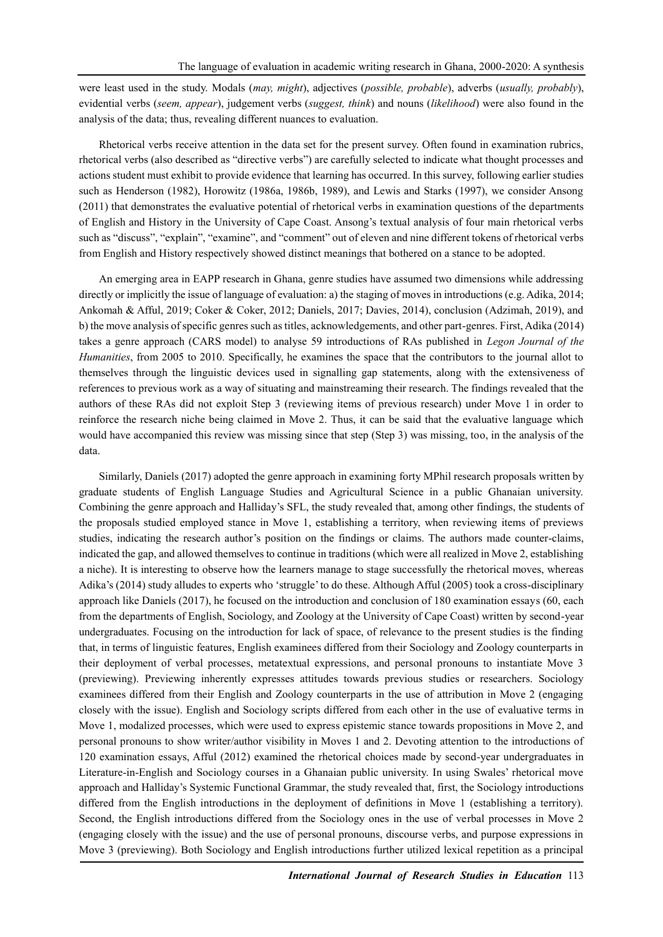were least used in the study. Modals (*may, might*), adjectives (*possible, probable*), adverbs (*usually, probably*), evidential verbs (*seem, appear*), judgement verbs (*suggest, think*) and nouns (*likelihood*) were also found in the analysis of the data; thus, revealing different nuances to evaluation.

Rhetorical verbs receive attention in the data set for the present survey. Often found in examination rubrics, rhetorical verbs (also described as "directive verbs") are carefully selected to indicate what thought processes and actions student must exhibit to provide evidence that learning has occurred. In this survey, following earlier studies such as Henderson (1982), Horowitz (1986a, 1986b, 1989), and Lewis and Starks (1997), we consider Ansong (2011) that demonstrates the evaluative potential of rhetorical verbs in examination questions of the departments of English and History in the University of Cape Coast. Ansong's textual analysis of four main rhetorical verbs such as "discuss", "explain", "examine", and "comment" out of eleven and nine different tokens of rhetorical verbs from English and History respectively showed distinct meanings that bothered on a stance to be adopted.

An emerging area in EAPP research in Ghana, genre studies have assumed two dimensions while addressing directly or implicitly the issue of language of evaluation: a) the staging of moves in introductions (e.g. Adika, 2014; Ankomah & Afful, 2019; Coker & Coker, 2012; Daniels, 2017; Davies, 2014), conclusion (Adzimah, 2019), and b) the move analysis of specific genres such as titles, acknowledgements, and other part-genres. First, Adika (2014) takes a genre approach (CARS model) to analyse 59 introductions of RAs published in *Legon Journal of the Humanities*, from 2005 to 2010. Specifically, he examines the space that the contributors to the journal allot to themselves through the linguistic devices used in signalling gap statements, along with the extensiveness of references to previous work as a way of situating and mainstreaming their research. The findings revealed that the authors of these RAs did not exploit Step 3 (reviewing items of previous research) under Move 1 in order to reinforce the research niche being claimed in Move 2. Thus, it can be said that the evaluative language which would have accompanied this review was missing since that step (Step 3) was missing, too, in the analysis of the data.

Similarly, Daniels (2017) adopted the genre approach in examining forty MPhil research proposals written by graduate students of English Language Studies and Agricultural Science in a public Ghanaian university. Combining the genre approach and Halliday's SFL, the study revealed that, among other findings, the students of the proposals studied employed stance in Move 1, establishing a territory, when reviewing items of previews studies, indicating the research author's position on the findings or claims. The authors made counter-claims, indicated the gap, and allowed themselves to continue in traditions (which were all realized in Move 2, establishing a niche). It is interesting to observe how the learners manage to stage successfully the rhetorical moves, whereas Adika's (2014) study alludes to experts who 'struggle' to do these. Although Afful (2005) took a cross-disciplinary approach like Daniels (2017), he focused on the introduction and conclusion of 180 examination essays (60, each from the departments of English, Sociology, and Zoology at the University of Cape Coast) written by second-year undergraduates. Focusing on the introduction for lack of space, of relevance to the present studies is the finding that, in terms of linguistic features, English examinees differed from their Sociology and Zoology counterparts in their deployment of verbal processes, metatextual expressions, and personal pronouns to instantiate Move 3 (previewing). Previewing inherently expresses attitudes towards previous studies or researchers. Sociology examinees differed from their English and Zoology counterparts in the use of attribution in Move 2 (engaging closely with the issue). English and Sociology scripts differed from each other in the use of evaluative terms in Move 1, modalized processes, which were used to express epistemic stance towards propositions in Move 2, and personal pronouns to show writer/author visibility in Moves 1 and 2. Devoting attention to the introductions of 120 examination essays, Afful (2012) examined the rhetorical choices made by second-year undergraduates in Literature-in-English and Sociology courses in a Ghanaian public university. In using Swales' rhetorical move approach and Halliday's Systemic Functional Grammar, the study revealed that, first, the Sociology introductions differed from the English introductions in the deployment of definitions in Move 1 (establishing a territory). Second, the English introductions differed from the Sociology ones in the use of verbal processes in Move 2 (engaging closely with the issue) and the use of personal pronouns, discourse verbs, and purpose expressions in Move 3 (previewing). Both Sociology and English introductions further utilized lexical repetition as a principal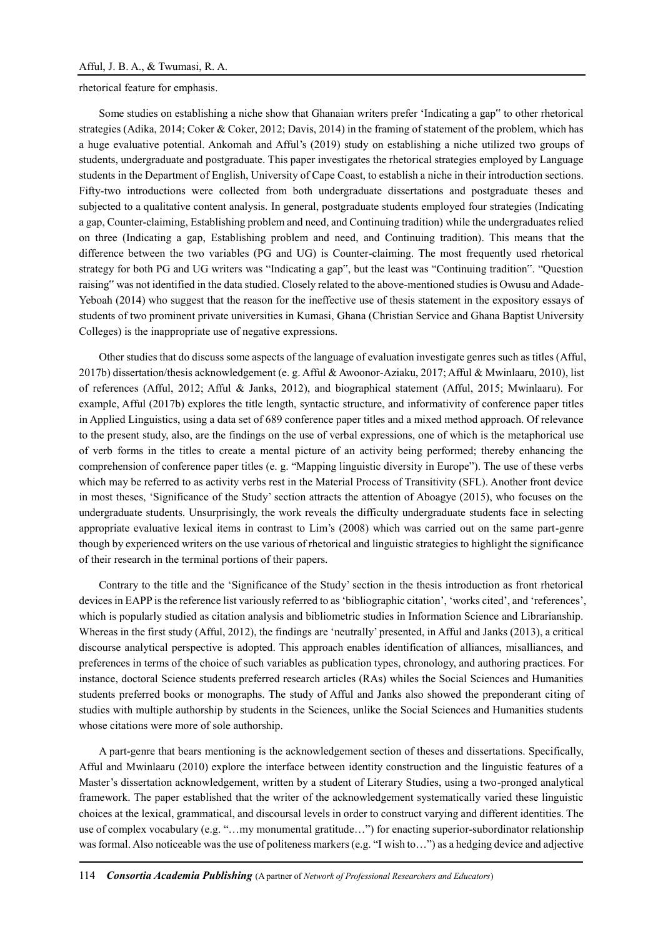rhetorical feature for emphasis.

Some studies on establishing a niche show that Ghanaian writers prefer 'Indicating a gap" to other rhetorical strategies (Adika, 2014; Coker & Coker, 2012; Davis, 2014) in the framing of statement of the problem, which has a huge evaluative potential. Ankomah and Afful's (2019) study on establishing a niche utilized two groups of students, undergraduate and postgraduate. This paper investigates the rhetorical strategies employed by Language students in the Department of English, University of Cape Coast, to establish a niche in their introduction sections. Fifty-two introductions were collected from both undergraduate dissertations and postgraduate theses and subjected to a qualitative content analysis. In general, postgraduate students employed four strategies (Indicating a gap, Counter-claiming, Establishing problem and need, and Continuing tradition) while the undergraduates relied on three (Indicating a gap, Establishing problem and need, and Continuing tradition). This means that the difference between the two variables (PG and UG) is Counter-claiming. The most frequently used rhetorical strategy for both PG and UG writers was "Indicating a gap", but the least was "Continuing tradition". "Question raising" was not identified in the data studied. Closely related to the above-mentioned studies is Owusu and Adade-Yeboah (2014) who suggest that the reason for the ineffective use of thesis statement in the expository essays of students of two prominent private universities in Kumasi, Ghana (Christian Service and Ghana Baptist University Colleges) is the inappropriate use of negative expressions.

Other studies that do discuss some aspects of the language of evaluation investigate genres such as titles (Afful, 2017b) dissertation/thesis acknowledgement (e. g. Afful & Awoonor-Aziaku, 2017; Afful & Mwinlaaru, 2010), list of references (Afful, 2012; Afful & Janks, 2012), and biographical statement (Afful, 2015; Mwinlaaru). For example, Afful (2017b) explores the title length, syntactic structure, and informativity of conference paper titles in Applied Linguistics, using a data set of 689 conference paper titles and a mixed method approach. Of relevance to the present study, also, are the findings on the use of verbal expressions, one of which is the metaphorical use of verb forms in the titles to create a mental picture of an activity being performed; thereby enhancing the comprehension of conference paper titles (e. g. "Mapping linguistic diversity in Europe"). The use of these verbs which may be referred to as activity verbs rest in the Material Process of Transitivity (SFL). Another front device in most theses, 'Significance of the Study' section attracts the attention of Aboagye (2015), who focuses on the undergraduate students. Unsurprisingly, the work reveals the difficulty undergraduate students face in selecting appropriate evaluative lexical items in contrast to Lim's (2008) which was carried out on the same part-genre though by experienced writers on the use various of rhetorical and linguistic strategies to highlight the significance of their research in the terminal portions of their papers.

Contrary to the title and the 'Significance of the Study' section in the thesis introduction as front rhetorical devices in EAPP is the reference list variously referred to as 'bibliographic citation', 'works cited', and 'references', which is popularly studied as citation analysis and bibliometric studies in Information Science and Librarianship. Whereas in the first study (Afful, 2012), the findings are 'neutrally' presented, in Afful and Janks (2013), a critical discourse analytical perspective is adopted. This approach enables identification of alliances, misalliances, and preferences in terms of the choice of such variables as publication types, chronology, and authoring practices. For instance, doctoral Science students preferred research articles (RAs) whiles the Social Sciences and Humanities students preferred books or monographs. The study of Afful and Janks also showed the preponderant citing of studies with multiple authorship by students in the Sciences, unlike the Social Sciences and Humanities students whose citations were more of sole authorship.

A part-genre that bears mentioning is the acknowledgement section of theses and dissertations. Specifically, Afful and Mwinlaaru (2010) explore the interface between identity construction and the linguistic features of a Master's dissertation acknowledgement, written by a student of Literary Studies, using a two-pronged analytical framework. The paper established that the writer of the acknowledgement systematically varied these linguistic choices at the lexical, grammatical, and discoursal levels in order to construct varying and different identities. The use of complex vocabulary (e.g. "…my monumental gratitude…") for enacting superior-subordinator relationship was formal. Also noticeable was the use of politeness markers (e.g. "I wish to...") as a hedging device and adjective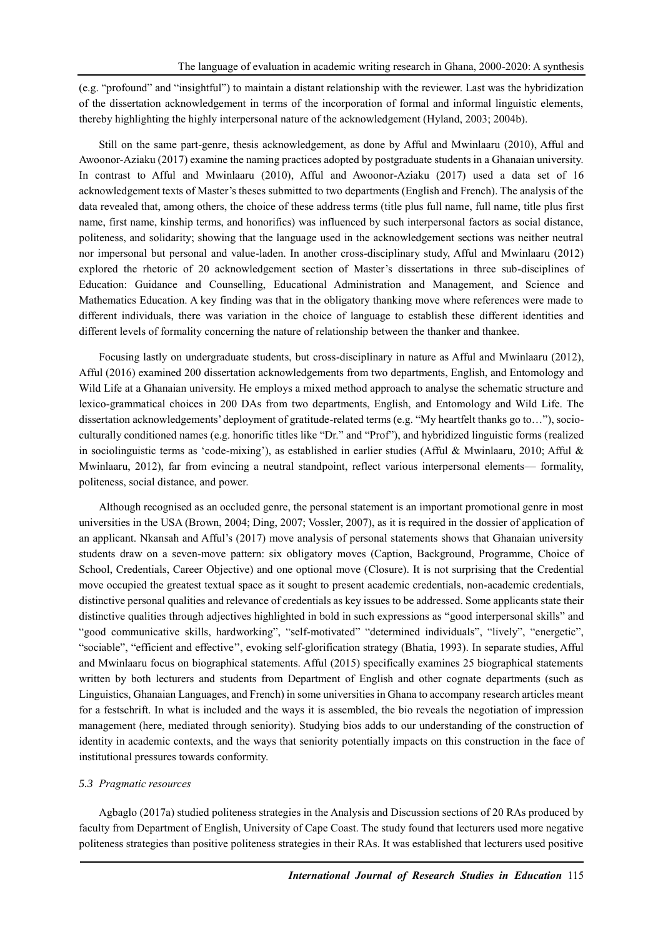(e.g. "profound" and "insightful") to maintain a distant relationship with the reviewer. Last was the hybridization of the dissertation acknowledgement in terms of the incorporation of formal and informal linguistic elements, thereby highlighting the highly interpersonal nature of the acknowledgement (Hyland, 2003; 2004b).

Still on the same part-genre, thesis acknowledgement, as done by Afful and Mwinlaaru (2010), Afful and Awoonor-Aziaku (2017) examine the naming practices adopted by postgraduate students in a Ghanaian university. In contrast to Afful and Mwinlaaru (2010), Afful and Awoonor-Aziaku (2017) used a data set of 16 acknowledgement texts of Master's theses submitted to two departments (English and French). The analysis of the data revealed that, among others, the choice of these address terms (title plus full name, full name, title plus first name, first name, kinship terms, and honorifics) was influenced by such interpersonal factors as social distance, politeness, and solidarity; showing that the language used in the acknowledgement sections was neither neutral nor impersonal but personal and value-laden. In another cross-disciplinary study, Afful and Mwinlaaru (2012) explored the rhetoric of 20 acknowledgement section of Master's dissertations in three sub-disciplines of Education: Guidance and Counselling, Educational Administration and Management, and Science and Mathematics Education. A key finding was that in the obligatory thanking move where references were made to different individuals, there was variation in the choice of language to establish these different identities and different levels of formality concerning the nature of relationship between the thanker and thankee.

Focusing lastly on undergraduate students, but cross-disciplinary in nature as Afful and Mwinlaaru (2012), Afful (2016) examined 200 dissertation acknowledgements from two departments, English, and Entomology and Wild Life at a Ghanaian university. He employs a mixed method approach to analyse the schematic structure and lexico-grammatical choices in 200 DAs from two departments, English, and Entomology and Wild Life. The dissertation acknowledgements' deployment of gratitude-related terms (e.g. "My heartfelt thanks go to…"), socioculturally conditioned names (e.g. honorific titles like "Dr." and "Prof"), and hybridized linguistic forms (realized in sociolinguistic terms as 'code-mixing'), as established in earlier studies (Afful & Mwinlaaru, 2010; Afful & Mwinlaaru, 2012), far from evincing a neutral standpoint, reflect various interpersonal elements— formality, politeness, social distance, and power.

Although recognised as an occluded genre, the personal statement is an important promotional genre in most universities in the USA (Brown, 2004; Ding, 2007; Vossler, 2007), as it is required in the dossier of application of an applicant. Nkansah and Afful's (2017) move analysis of personal statements shows that Ghanaian university students draw on a seven-move pattern: six obligatory moves (Caption, Background, Programme, Choice of School, Credentials, Career Objective) and one optional move (Closure). It is not surprising that the Credential move occupied the greatest textual space as it sought to present academic credentials, non-academic credentials, distinctive personal qualities and relevance of credentials as key issues to be addressed. Some applicants state their distinctive qualities through adjectives highlighted in bold in such expressions as "good interpersonal skills" and "good communicative skills, hardworking", "self-motivated" "determined individuals", "lively", "energetic", "sociable", "efficient and effective'', evoking self-glorification strategy (Bhatia, 1993). In separate studies, Afful and Mwinlaaru focus on biographical statements. Afful (2015) specifically examines 25 biographical statements written by both lecturers and students from Department of English and other cognate departments (such as Linguistics, Ghanaian Languages, and French) in some universities in Ghana to accompany research articles meant for a festschrift. In what is included and the ways it is assembled, the bio reveals the negotiation of impression management (here, mediated through seniority). Studying bios adds to our understanding of the construction of identity in academic contexts, and the ways that seniority potentially impacts on this construction in the face of institutional pressures towards conformity.

# *5.3 Pragmatic resources*

Agbaglo (2017a) studied politeness strategies in the Analysis and Discussion sections of 20 RAs produced by faculty from Department of English, University of Cape Coast. The study found that lecturers used more negative politeness strategies than positive politeness strategies in their RAs. It was established that lecturers used positive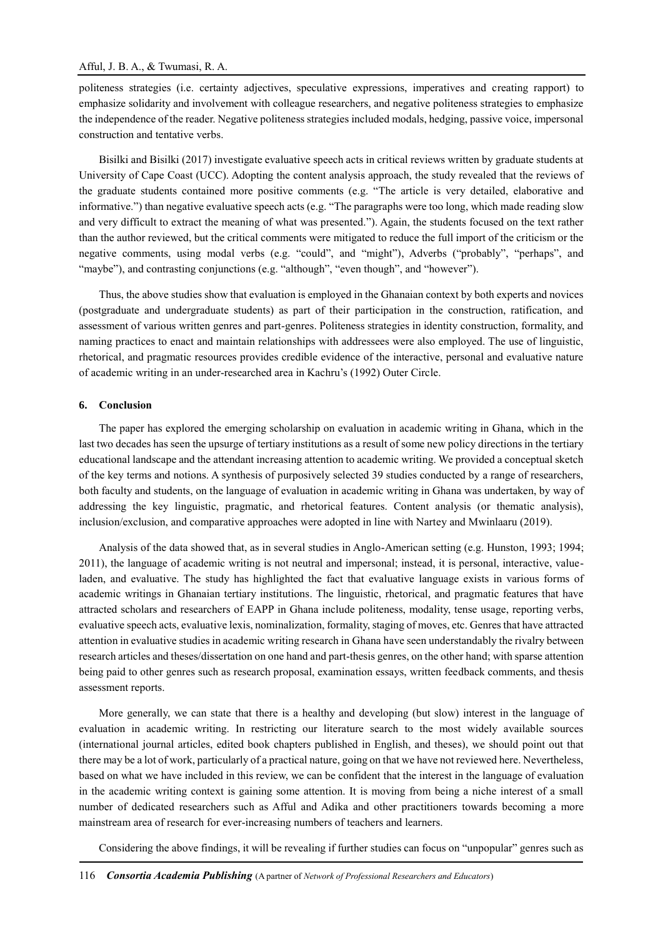politeness strategies (i.e. certainty adjectives, speculative expressions, imperatives and creating rapport) to emphasize solidarity and involvement with colleague researchers, and negative politeness strategies to emphasize the independence of the reader. Negative politeness strategies included modals, hedging, passive voice, impersonal construction and tentative verbs.

Bisilki and Bisilki (2017) investigate evaluative speech acts in critical reviews written by graduate students at University of Cape Coast (UCC). Adopting the content analysis approach, the study revealed that the reviews of the graduate students contained more positive comments (e.g. "The article is very detailed, elaborative and informative.") than negative evaluative speech acts (e.g. "The paragraphs were too long, which made reading slow and very difficult to extract the meaning of what was presented."). Again, the students focused on the text rather than the author reviewed, but the critical comments were mitigated to reduce the full import of the criticism or the negative comments, using modal verbs (e.g. "could", and "might"), Adverbs ("probably", "perhaps", and "maybe"), and contrasting conjunctions (e.g. "although", "even though", and "however").

Thus, the above studies show that evaluation is employed in the Ghanaian context by both experts and novices (postgraduate and undergraduate students) as part of their participation in the construction, ratification, and assessment of various written genres and part-genres. Politeness strategies in identity construction, formality, and naming practices to enact and maintain relationships with addressees were also employed. The use of linguistic, rhetorical, and pragmatic resources provides credible evidence of the interactive, personal and evaluative nature of academic writing in an under-researched area in Kachru's (1992) Outer Circle.

#### **6. Conclusion**

The paper has explored the emerging scholarship on evaluation in academic writing in Ghana, which in the last two decades has seen the upsurge of tertiary institutions as a result of some new policy directions in the tertiary educational landscape and the attendant increasing attention to academic writing. We provided a conceptual sketch of the key terms and notions. A synthesis of purposively selected 39 studies conducted by a range of researchers, both faculty and students, on the language of evaluation in academic writing in Ghana was undertaken, by way of addressing the key linguistic, pragmatic, and rhetorical features. Content analysis (or thematic analysis), inclusion/exclusion, and comparative approaches were adopted in line with Nartey and Mwinlaaru (2019).

Analysis of the data showed that, as in several studies in Anglo-American setting (e.g. Hunston, 1993; 1994; 2011), the language of academic writing is not neutral and impersonal; instead, it is personal, interactive, valueladen, and evaluative. The study has highlighted the fact that evaluative language exists in various forms of academic writings in Ghanaian tertiary institutions. The linguistic, rhetorical, and pragmatic features that have attracted scholars and researchers of EAPP in Ghana include politeness, modality, tense usage, reporting verbs, evaluative speech acts, evaluative lexis, nominalization, formality, staging of moves, etc. Genres that have attracted attention in evaluative studies in academic writing research in Ghana have seen understandably the rivalry between research articles and theses/dissertation on one hand and part-thesis genres, on the other hand; with sparse attention being paid to other genres such as research proposal, examination essays, written feedback comments, and thesis assessment reports.

More generally, we can state that there is a healthy and developing (but slow) interest in the language of evaluation in academic writing. In restricting our literature search to the most widely available sources (international journal articles, edited book chapters published in English, and theses), we should point out that there may be a lot of work, particularly of a practical nature, going on that we have not reviewed here. Nevertheless, based on what we have included in this review, we can be confident that the interest in the language of evaluation in the academic writing context is gaining some attention. It is moving from being a niche interest of a small number of dedicated researchers such as Afful and Adika and other practitioners towards becoming a more mainstream area of research for ever-increasing numbers of teachers and learners.

Considering the above findings, it will be revealing if further studies can focus on "unpopular" genres such as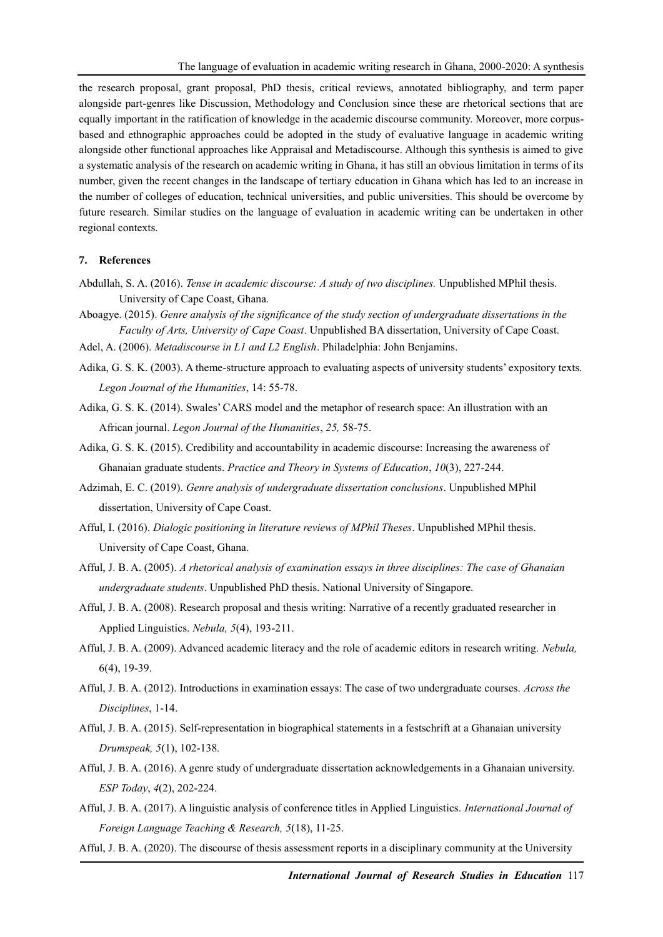the research proposal, grant proposal, PhD thesis, critical reviews, annotated bibliography, and term paper alongside part-genres like Discussion, Methodology and Conclusion since these are rhetorical sections that are equally important in the ratification of knowledge in the academic discourse community. Moreover, more corpusbased and ethnographic approaches could be adopted in the study of evaluative language in academic writing alongside other functional approaches like Appraisal and Metadiscourse. Although this synthesis is aimed to give a systematic analysis of the research on academic writing in Ghana, it has still an obvious limitation in terms of its number, given the recent changes in the landscape of tertiary education in Ghana which has led to an increase in the number of colleges of education, technical universities, and public universities. This should be overcome by future research. Similar studies on the language of evaluation in academic writing can be undertaken in other regional contexts.

## **7. References**

- Abdullah, S. A. (2016). *Tense in academic discourse: A study of two disciplines.* Unpublished MPhil thesis. University of Cape Coast, Ghana.
- Aboagye. (2015). *Genre analysis of the significance of the study section of undergraduate dissertations in the Faculty of Arts, University of Cape Coast*. Unpublished BA dissertation, University of Cape Coast.
- Adel, A. (2006). *Metadiscourse in L1 and L2 English*. Philadelphia: John Benjamins.
- Adika, G. S. K. (2003). A theme-structure approach to evaluating aspects of university students' expository texts. *Legon Journal of the Humanities*, 14: 55-78.
- Adika, G. S. K. (2014). Swales' CARS model and the metaphor of research space: An illustration with an African journal. *Legon Journal of the Humanities*, *25,* 58-75.
- Adika, G. S. K. (2015). Credibility and accountability in academic discourse: Increasing the awareness of Ghanaian graduate students. *Practice and Theory in Systems of Education*, *10*(3), 227-244.
- Adzimah, E. C. (2019). *Genre analysis of undergraduate dissertation conclusions*. Unpublished MPhil dissertation, University of Cape Coast.
- Afful, I. (2016). *Dialogic positioning in literature reviews of MPhil Theses*. Unpublished MPhil thesis. University of Cape Coast, Ghana.
- Afful, J. B. A. (2005). *A rhetorical analysis of examination essays in three disciplines: The case of Ghanaian undergraduate students*. Unpublished PhD thesis. National University of Singapore.
- Afful, J. B. A. (2008). Research proposal and thesis writing: Narrative of a recently graduated researcher in Applied Linguistics. *Nebula, 5*(4), 193-211.
- Afful, J. B. A. (2009). Advanced academic literacy and the role of academic editors in research writing. *Nebula,*  6(4), 19-39.
- Afful, J. B. A. (2012). Introductions in examination essays: The case of two undergraduate courses. *Across the Disciplines*, 1-14.
- Afful, J. B. A. (2015). Self-representation in biographical statements in a festschrift at a Ghanaian university *Drumspeak, 5*(1), 102-138*.*
- Afful, J. B. A. (2016). A genre study of undergraduate dissertation acknowledgements in a Ghanaian university. *ESP Today*, *4*(2), 202-224.
- Afful, J. B. A. (2017). A linguistic analysis of conference titles in Applied Linguistics. *International Journal of Foreign Language Teaching & Research, 5*(18), 11-25.
- Afful, J. B. A. (2020). The discourse of thesis assessment reports in a disciplinary community at the University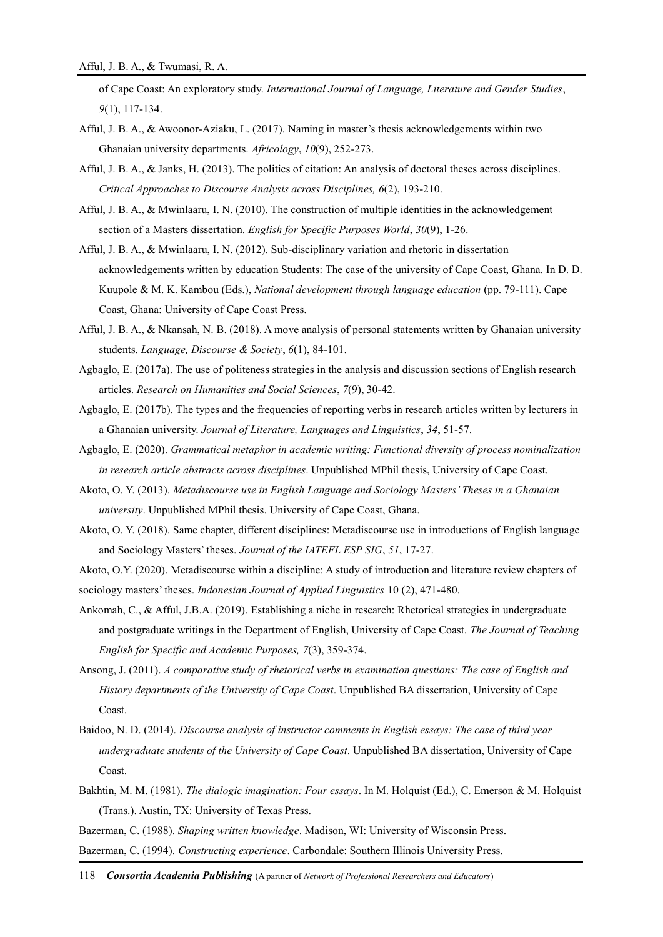of Cape Coast: An exploratory study. *International Journal of Language, Literature and Gender Studies*, *9*(1), 117-134.

- Afful, J. B. A., & Awoonor-Aziaku, L. (2017). Naming in master's thesis acknowledgements within two Ghanaian university departments. *Africology*, *10*(9), 252-273.
- Afful, J. B. A., & Janks, H. (2013). The politics of citation: An analysis of doctoral theses across disciplines. *Critical Approaches to Discourse Analysis across Disciplines, 6*(2), 193-210.
- Afful, J. B. A., & Mwinlaaru, I. N. (2010). The construction of multiple identities in the acknowledgement section of a Masters dissertation. *English for Specific Purposes World*, *30*(9), 1-26.
- Afful, J. B. A., & Mwinlaaru, I. N. (2012). Sub-disciplinary variation and rhetoric in dissertation acknowledgements written by education Students: The case of the university of Cape Coast, Ghana. In D. D. Kuupole & M. K. Kambou (Eds.), *National development through language education* (pp. 79-111). Cape Coast, Ghana: University of Cape Coast Press.
- Afful, J. B. A., & Nkansah, N. B. (2018). A move analysis of personal statements written by Ghanaian university students. *Language, Discourse & Society*, *6*(1), 84-101.
- Agbaglo, E. (2017a). The use of politeness strategies in the analysis and discussion sections of English research articles. *Research on Humanities and Social Sciences*, *7*(9), 30-42.
- Agbaglo, E. (2017b). The types and the frequencies of reporting verbs in research articles written by lecturers in a Ghanaian university. *Journal of Literature, Languages and Linguistics*, *34*, 51-57.
- Agbaglo, E. (2020). *Grammatical metaphor in academic writing: Functional diversity of process nominalization in research article abstracts across disciplines*. Unpublished MPhil thesis, University of Cape Coast.
- Akoto, O. Y. (2013). *Metadiscourse use in English Language and Sociology Masters' Theses in a Ghanaian university*. Unpublished MPhil thesis. University of Cape Coast, Ghana.
- Akoto, O. Y. (2018). Same chapter, different disciplines: Metadiscourse use in introductions of English language and Sociology Masters' theses. *Journal of the IATEFL ESP SIG*, *51*, 17-27.

Akoto, O.Y. (2020). Metadiscourse within a discipline: A study of introduction and literature review chapters of sociology masters' theses. *Indonesian Journal of Applied Linguistics* 10 (2), 471-480.

- Ankomah, C., & Afful, J.B.A. (2019). Establishing a niche in research: Rhetorical strategies in undergraduate and postgraduate writings in the Department of English, University of Cape Coast. *The Journal of Teaching English for Specific and Academic Purposes, 7*(3), 359-374.
- Ansong, J. (2011). *A comparative study of rhetorical verbs in examination questions: The case of English and History departments of the University of Cape Coast*. Unpublished BA dissertation, University of Cape Coast.
- Baidoo, N. D. (2014). *Discourse analysis of instructor comments in English essays: The case of third year undergraduate students of the University of Cape Coast*. Unpublished BA dissertation, University of Cape Coast.
- Bakhtin, M. M. (1981). *The dialogic imagination: Four essays*. In M. Holquist (Ed.), C. Emerson & M. Holquist (Trans.). Austin, TX: University of Texas Press.
- Bazerman, C. (1988). *Shaping written knowledge*. Madison, WI: University of Wisconsin Press.

Bazerman, C. (1994). *Constructing experience*. Carbondale: Southern Illinois University Press.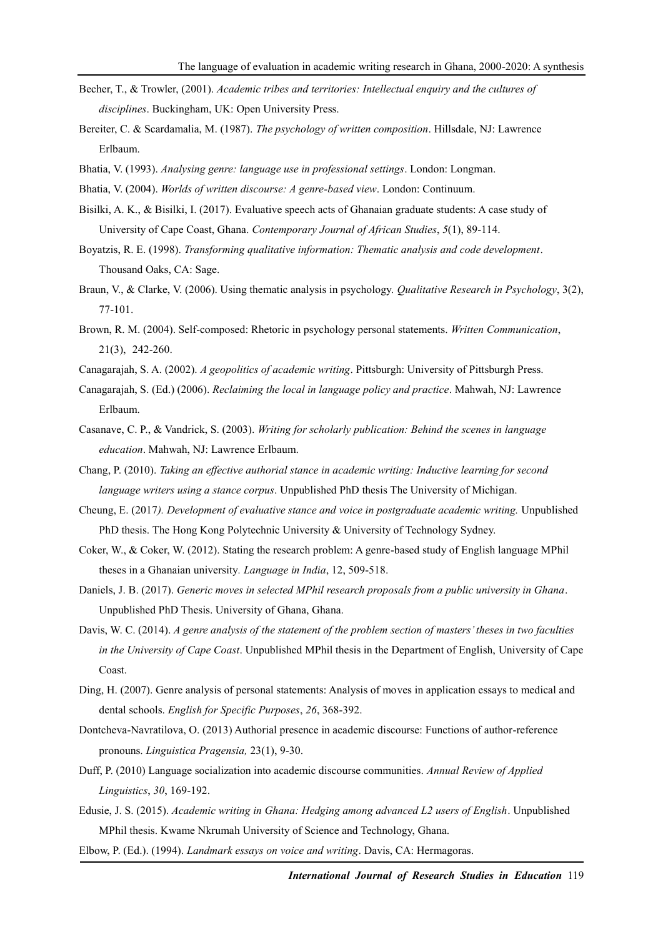- Becher, T., & Trowler, (2001). *Academic tribes and territories: Intellectual enquiry and the cultures of disciplines*. Buckingham, UK: Open University Press.
- Bereiter, C. & Scardamalia, M. (1987). *The psychology of written composition*. Hillsdale, NJ: Lawrence Erlbaum.
- Bhatia, V. (1993). *Analysing genre: language use in professional settings*. London: Longman.
- Bhatia, V. (2004). *Worlds of written discourse: A genre-based view*. London: Continuum.
- Bisilki, A. K., & Bisilki, I. (2017). Evaluative speech acts of Ghanaian graduate students: A case study of University of Cape Coast, Ghana. *Contemporary Journal of African Studies*, *5*(1), 89-114.
- Boyatzis, R. E. (1998). *Transforming qualitative information: Thematic analysis and code development*. Thousand Oaks, CA: Sage.
- Braun, V., & Clarke, V. (2006). Using thematic analysis in psychology. *Qualitative Research in Psychology*, 3(2), 77-101.
- Brown, R. M. (2004). Self-composed: Rhetoric in psychology personal statements. *Written Communication*, 21(3), 242-260.
- Canagarajah, S. A. (2002). *A geopolitics of academic writing*. Pittsburgh: University of Pittsburgh Press.
- Canagarajah, S. (Ed.) (2006). *Reclaiming the local in language policy and practice*. Mahwah, NJ: Lawrence Erlbaum.
- Casanave, C. P., & Vandrick, S. (2003). *Writing for scholarly publication: Behind the scenes in language education*. Mahwah, NJ: Lawrence Erlbaum.
- Chang, P. (2010). *Taking an effective authorial stance in academic writing: Inductive learning for second language writers using a stance corpus*. Unpublished PhD thesis The University of Michigan.
- Cheung, E. (2017*). Development of evaluative stance and voice in postgraduate academic writing.* Unpublished PhD thesis. The Hong Kong Polytechnic University & University of Technology Sydney.
- Coker, W., & Coker, W. (2012). Stating the research problem: A genre-based study of English language MPhil theses in a Ghanaian university*. Language in India*, 12, 509-518.
- Daniels, J. B. (2017). *Generic moves in selected MPhil research proposals from a public university in Ghana*. Unpublished PhD Thesis. University of Ghana, Ghana.
- Davis, W. C. (2014). *A genre analysis of the statement of the problem section of masters' theses in two faculties in the University of Cape Coast*. Unpublished MPhil thesis in the Department of English, University of Cape Coast.
- Ding, H. (2007). Genre analysis of personal statements: Analysis of moves in application essays to medical and dental schools. *English for Specific Purposes*, *26*, 368-392.
- Dontcheva-Navratilova, O. (2013) Authorial presence in academic discourse: Functions of author-reference pronouns. *Linguistica Pragensia,* 23(1), 9-30.
- Duff, P. (2010) Language socialization into academic discourse communities. *Annual Review of Applied Linguistics*, *30*, 169-192.
- Edusie, J. S. (2015). *Academic writing in Ghana: Hedging among advanced L2 users of English*. Unpublished MPhil thesis. Kwame Nkrumah University of Science and Technology, Ghana.
- Elbow, P. (Ed.). (1994). *Landmark essays on voice and writing*. Davis, CA: Hermagoras.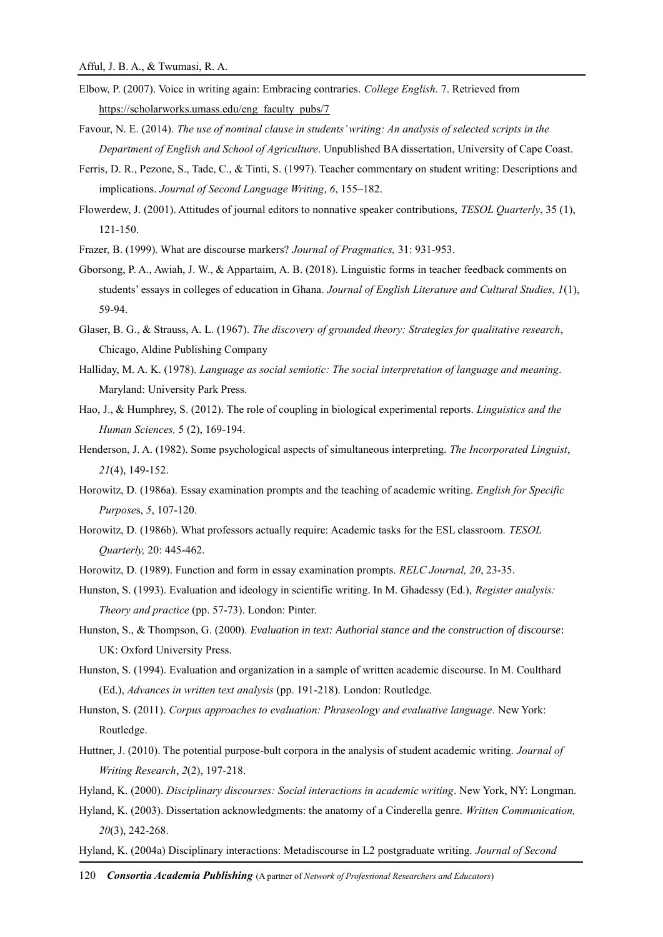- Elbow, P. (2007). Voice in writing again: Embracing contraries. *College English*. 7. Retrieved from [https://scholarworks.umass.edu/eng\\_faculty\\_pubs/7](https://scholarworks.umass.edu/eng_faculty_pubs/7)
- Favour, N. E. (2014). *The use of nominal clause in students' writing: An analysis of selected scripts in the Department of English and School of Agriculture*. Unpublished BA dissertation, University of Cape Coast.
- Ferris, D. R., Pezone, S., Tade, C., & Tinti, S. (1997). Teacher commentary on student writing: Descriptions and implications. *Journal of Second Language Writing*, *6*, 155–182.
- Flowerdew, J. (2001). Attitudes of journal editors to nonnative speaker contributions, *TESOL Quarterly*, 35 (1), 121-150.
- Frazer, B. (1999). What are discourse markers? *Journal of Pragmatics,* 31: 931-953.
- Gborsong, P. A., Awiah, J. W., & Appartaim, A. B. (2018). Linguistic forms in teacher feedback comments on students' essays in colleges of education in Ghana. *Journal of English Literature and Cultural Studies, 1*(1), 59-94.
- Glaser, B. G., & Strauss, A. L. (1967). *The discovery of grounded theory: Strategies for qualitative research*, Chicago, Aldine Publishing Company
- Halliday, M. A. K. (1978). *Language as social semiotic: The social interpretation of language and meaning.* Maryland: University Park Press.
- Hao, J., & Humphrey, S. (2012). The role of coupling in biological experimental reports. *Linguistics and the Human Sciences,* 5 (2), 169-194.
- Henderson, J. A. (1982). Some psychological aspects of simultaneous interpreting. *The Incorporated Linguist*, *21*(4), 149-152.
- Horowitz, D. (1986a). Essay examination prompts and the teaching of academic writing. *English for Specific Purpose*s, *5*, 107-120.
- Horowitz, D. (1986b). What professors actually require: Academic tasks for the ESL classroom. *TESOL Quarterly,* 20: 445-462.
- Horowitz, D. (1989). Function and form in essay examination prompts. *RELC Journal, 20*, 23-35.
- Hunston, S. (1993). Evaluation and ideology in scientific writing. In M. Ghadessy (Ed.), *Register analysis: Theory and practice* (pp. 57-73). London: Pinter.
- Hunston, S., & Thompson, G. (2000). *Evaluation in text: Authorial stance and the construction of discourse*: UK: Oxford University Press.
- Hunston, S. (1994). Evaluation and organization in a sample of written academic discourse. In M. Coulthard (Ed.), *Advances in written text analysis* (pp. 191-218). London: Routledge.
- Hunston, S. (2011). *Corpus approaches to evaluation: Phraseology and evaluative language*. New York: Routledge.
- Huttner, J. (2010). The potential purpose-bult corpora in the analysis of student academic writing. *Journal of Writing Research*, *2*(2), 197-218.
- Hyland, K. (2000). *Disciplinary discourses: Social interactions in academic writing*. New York, NY: Longman.
- Hyland, K. (2003). Dissertation acknowledgments: the anatomy of a Cinderella genre. *Written Communication, 20*(3), 242-268.
- Hyland, K. (2004a) Disciplinary interactions: Metadiscourse in L2 postgraduate writing. *Journal of Second*
- 120 *Consortia Academia Publishing* (A partner of *Network of Professional Researchers and Educators*)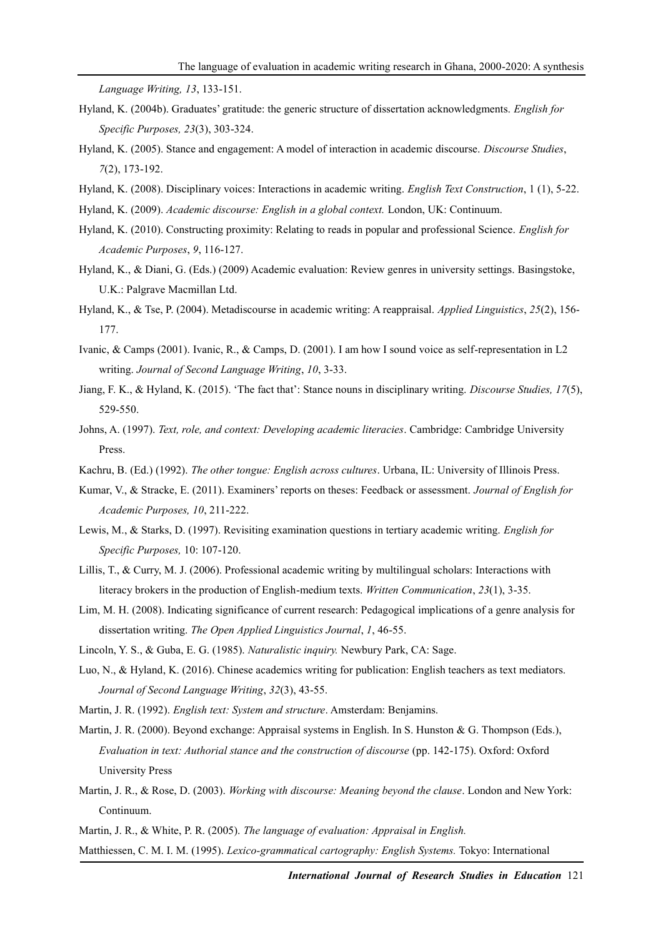*Language Writing, 13*, 133-151.

- Hyland, K. (2004b). Graduates' gratitude: the generic structure of dissertation acknowledgments. *English for Specific Purposes, 23*(3), 303-324.
- Hyland, K. (2005). Stance and engagement: A model of interaction in academic discourse. *Discourse Studies*, *7*(2), 173-192.
- Hyland, K. (2008). Disciplinary voices: Interactions in academic writing. *English Text Construction*, 1 (1), 5-22.
- Hyland, K. (2009). *Academic discourse: English in a global context.* London, UK: Continuum.
- Hyland, K. (2010). Constructing proximity: Relating to reads in popular and professional Science. *English for Academic Purposes*, *9*, 116-127.
- Hyland, K., & Diani, G. (Eds.) (2009) Academic evaluation: Review genres in university settings. Basingstoke, U.K.: Palgrave Macmillan Ltd.
- Hyland, K., & Tse, P. (2004). Metadiscourse in academic writing: A reappraisal. *Applied Linguistics*, *25*(2), 156- 177.
- Ivanic, & Camps (2001). Ivanic, R., & Camps, D. (2001). I am how I sound voice as self-representation in L2 writing. *Journal of Second Language Writing*, *10*, 3-33.
- Jiang, F. K., & Hyland, K. (2015). 'The fact that': Stance nouns in disciplinary writing. *Discourse Studies, 17*(5), 529-550.
- Johns, A. (1997). *Text, role, and context: Developing academic literacies*. Cambridge: Cambridge University Press.
- Kachru, B. (Ed.) (1992). *The other tongue: English across cultures*. Urbana, IL: University of Illinois Press.
- Kumar, V., & Stracke, E. (2011). Examiners' reports on theses: Feedback or assessment. *Journal of English for Academic Purposes, 10*, 211-222.
- Lewis, M., & Starks, D. (1997). Revisiting examination questions in tertiary academic writing. *English for Specific Purposes,* 10: 107-120.
- Lillis, T., & Curry, M. J. (2006). Professional academic writing by multilingual scholars: Interactions with literacy brokers in the production of English-medium texts. *Written Communication*, *23*(1), 3-35.
- Lim, M. H. (2008). Indicating significance of current research: Pedagogical implications of a genre analysis for dissertation writing. *The Open Applied Linguistics Journal*, *1*, 46-55.
- Lincoln, Y. S., & Guba, E. G. (1985). *[Naturalistic inquiry.](http://books.google.com/books?hl=en&lr=&id=2oA9aWlNeooC&oi=fnd&pg=PA5&sig=GoKaBo0eIoPy4qeqRyuozZo1CqM&dq=naturalistic+inquiry&prev=http://scholar.google.com/scholar%3Fq%3Dnaturalistic%2Binquiry%26num%3D100%26hl%3Den%26lr%3D)* Newbury Park, CA: Sage.
- Luo, N., & Hyland, K. (2016). Chinese academics writing for publication: English teachers as text mediators. *Journal of Second Language Writing*, *32*(3), 43-55.
- Martin, J. R. (1992). *English text: System and structure*. Amsterdam: Benjamins.
- Martin, J. R. (2000). Beyond exchange: Appraisal systems in English. In S. Hunston & G. Thompson (Eds.), *Evaluation in text: Authorial stance and the construction of discourse* (pp. 142-175). Oxford: Oxford University Press
- Martin, J. R., & Rose, D. (2003). *Working with discourse: Meaning beyond the clause*. London and New York: Continuum.
- Martin, J. R., & White, P. R. (2005). *The language of evaluation: Appraisal in English.*

Matthiessen, C. M. I. M. (1995). *Lexico-grammatical cartography: English Systems.* Tokyo: International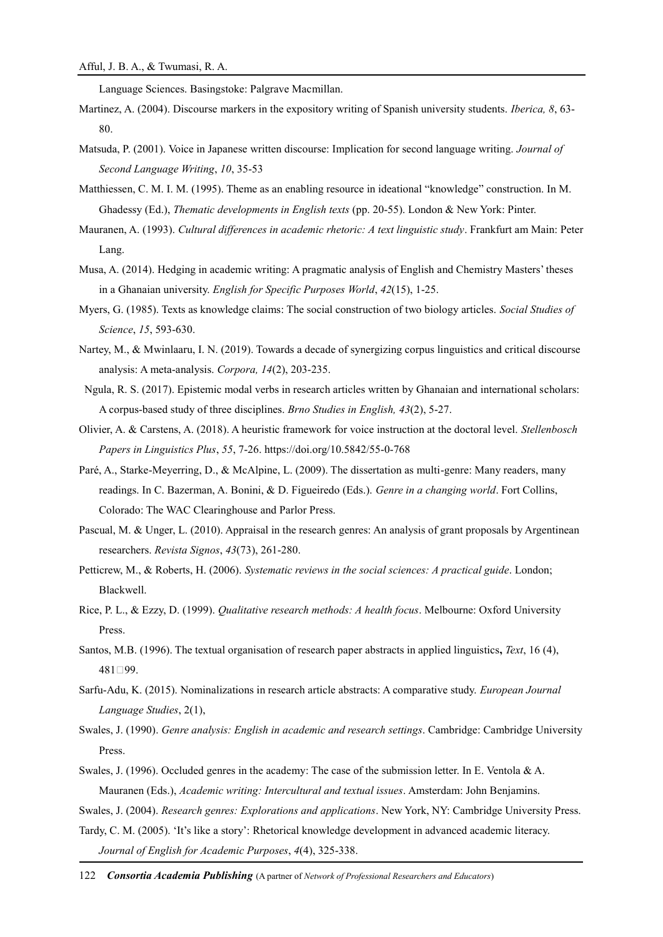Language Sciences. Basingstoke: Palgrave Macmillan.

- Martinez, A. (2004). Discourse markers in the expository writing of Spanish university students. *Iberica, 8*, 63- 80.
- Matsuda, P. (2001). Voice in Japanese written discourse: Implication for second language writing. *Journal of Second Language Writing*, *10*, 35-53
- Matthiessen, C. M. I. M. (1995). Theme as an enabling resource in ideational "knowledge" construction. In M. Ghadessy (Ed.), *Thematic developments in English texts* (pp. 20-55). London & New York: Pinter.
- Mauranen, A. (1993). *Cultural differences in academic rhetoric: A text linguistic study*. Frankfurt am Main: Peter Lang.
- Musa, A. (2014). Hedging in academic writing: A pragmatic analysis of English and Chemistry Masters' theses in a Ghanaian university. *English for Specific Purposes World*, *42*(15), 1-25.
- Myers, G. (1985). Texts as knowledge claims: The social construction of two biology articles. *Social Studies of Science*, *15*, 593-630.
- Nartey, M., & Mwinlaaru, I. N. (2019). Towards a decade of synergizing corpus linguistics and critical discourse analysis: A meta-analysis. *Corpora, 14*(2), 203-235.
- Ngula, R. S. (2017). Epistemic modal verbs in research articles written by Ghanaian and international scholars: A corpus-based study of three disciplines. *Brno Studies in English, 43*(2), 5-27.
- Olivier, A. & Carstens, A. (2018). A heuristic framework for voice instruction at the doctoral level. *Stellenbosch Papers in Linguistics Plus*, *55*, 7-26. https://doi.org/10.5842/55-0-768
- Paré, A., Starke-Meyerring, D., & McAlpine, L. (2009). The dissertation as multi-genre: Many readers, many readings. In C. Bazerman, A. Bonini, & D. Figueiredo (Eds.). *Genre in a changing world*. Fort Collins, Colorado: The WAC Clearinghouse and Parlor Press.
- Pascual, M. & Unger, L. (2010). Appraisal in the research genres: An analysis of grant proposals by Argentinean researchers. *Revista Signos*, *43*(73), 261-280.
- Petticrew, M., & Roberts, H. (2006). *Systematic reviews in the social sciences: A practical guide*. London; Blackwell.
- Rice, P. L., & Ezzy, D. (1999). *Qualitative research methods: A health focus*. Melbourne: Oxford University Press.
- Santos, M.B. (1996). The textual organisation of research paper abstracts in applied linguistics**,** *Text*, 16 (4), 481‐99.
- Sarfu-Adu, K. (2015). Nominalizations in research article abstracts: A comparative study. *European Journal Language Studies*, 2(1),
- Swales, J. (1990). *Genre analysis: English in academic and research settings*. Cambridge: Cambridge University Press.
- Swales, J. (1996). Occluded genres in the academy: The case of the submission letter. In E. Ventola & A. Mauranen (Eds.), *Academic writing: Intercultural and textual issues*. Amsterdam: John Benjamins.
- Swales, J. (2004). *Research genres: Explorations and applications*. New York, NY: Cambridge University Press.
- Tardy, C. M. (2005). 'It's like a story': Rhetorical knowledge development in advanced academic literacy. *Journal of English for Academic Purposes*, *4*(4), 325-338.